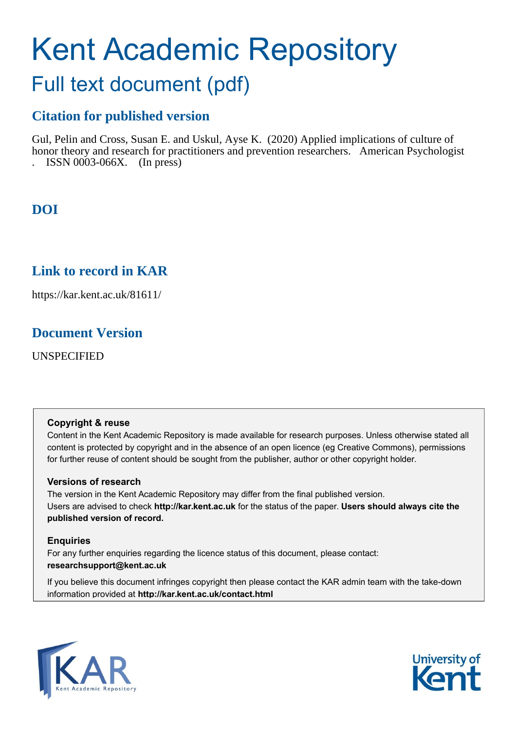# Kent Academic Repository

## Full text document (pdf)

## **Citation for published version**

Gul, Pelin and Cross, Susan E. and Uskul, Ayse K. (2020) Applied implications of culture of honor theory and research for practitioners and prevention researchers. American Psychologist . ISSN 0003-066X. (In press)

## **DOI**

## **Link to record in KAR**

https://kar.kent.ac.uk/81611/

### **Document Version**

UNSPECIFIED

#### **Copyright & reuse**

Content in the Kent Academic Repository is made available for research purposes. Unless otherwise stated all content is protected by copyright and in the absence of an open licence (eg Creative Commons), permissions for further reuse of content should be sought from the publisher, author or other copyright holder.

#### **Versions of research**

The version in the Kent Academic Repository may differ from the final published version. Users are advised to check **http://kar.kent.ac.uk** for the status of the paper. **Users should always cite the published version of record.**

#### **Enquiries**

For any further enquiries regarding the licence status of this document, please contact: **researchsupport@kent.ac.uk**

If you believe this document infringes copyright then please contact the KAR admin team with the take-down information provided at **http://kar.kent.ac.uk/contact.html**



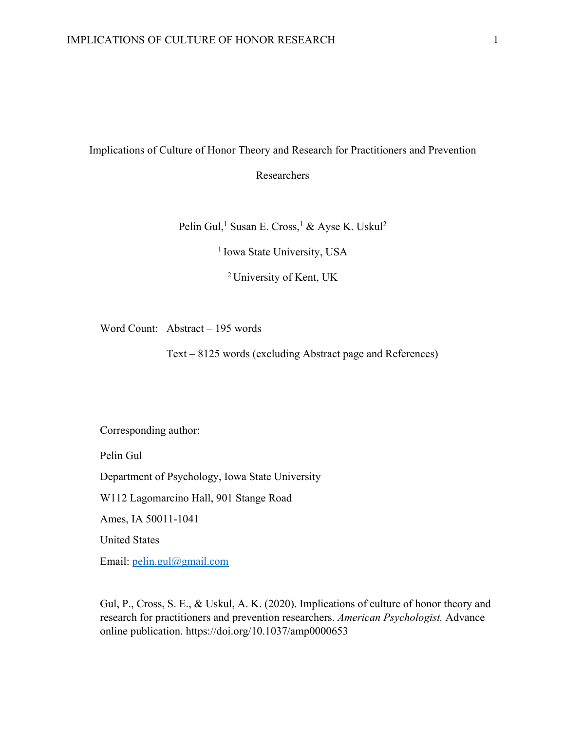#### Implications of Culture of Honor Theory and Research for Practitioners and Prevention

Researchers

Pelin Gul,<sup>1</sup> Susan E. Cross,<sup>1</sup> & Ayse K. Uskul<sup>2</sup>

<sup>1</sup> Iowa State University, USA

2 University of Kent, UK

Word Count: Abstract – 195 words

Text – 8125 words (excluding Abstract page and References)

Corresponding author:

Pelin Gul

Department of Psychology, Iowa State University

W112 Lagomarcino Hall, 901 Stange Road

Ames, IA 50011-1041

United States

Email: pelin.gul@gmail.com

Gul, P., Cross, S. E., & Uskul, A. K. (2020). Implications of culture of honor theory and research for practitioners and prevention researchers. *American Psychologist.* Advance online publication. https://doi.org/10.1037/amp0000653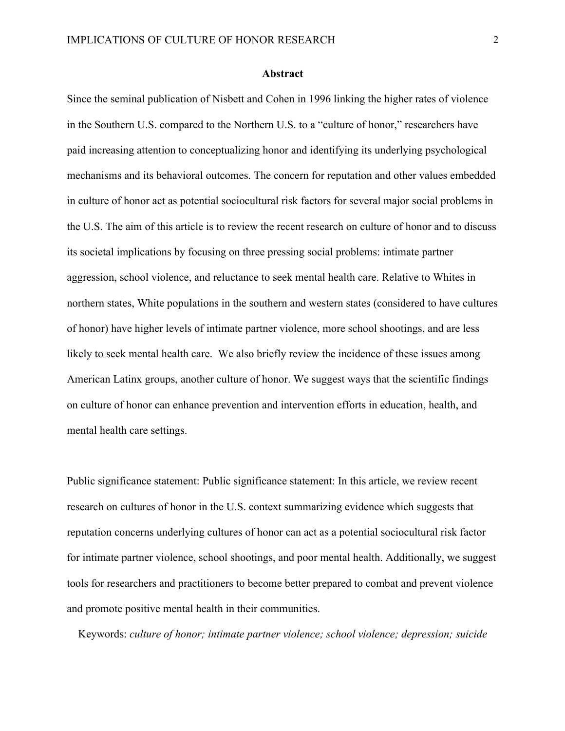#### **Abstract**

Since the seminal publication of Nisbett and Cohen in 1996 linking the higher rates of violence in the Southern U.S. compared to the Northern U.S. to a "culture of honor," researchers have paid increasing attention to conceptualizing honor and identifying its underlying psychological mechanisms and its behavioral outcomes. The concern for reputation and other values embedded in culture of honor act as potential sociocultural risk factors for several major social problems in the U.S. The aim of this article is to review the recent research on culture of honor and to discuss its societal implications by focusing on three pressing social problems: intimate partner aggression, school violence, and reluctance to seek mental health care. Relative to Whites in northern states, White populations in the southern and western states (considered to have cultures of honor) have higher levels of intimate partner violence, more school shootings, and are less likely to seek mental health care. We also briefly review the incidence of these issues among American Latinx groups, another culture of honor. We suggest ways that the scientific findings on culture of honor can enhance prevention and intervention efforts in education, health, and mental health care settings.

Public significance statement: Public significance statement: In this article, we review recent research on cultures of honor in the U.S. context summarizing evidence which suggests that reputation concerns underlying cultures of honor can act as a potential sociocultural risk factor for intimate partner violence, school shootings, and poor mental health. Additionally, we suggest tools for researchers and practitioners to become better prepared to combat and prevent violence and promote positive mental health in their communities.

Keywords: *culture of honor; intimate partner violence; school violence; depression; suicide*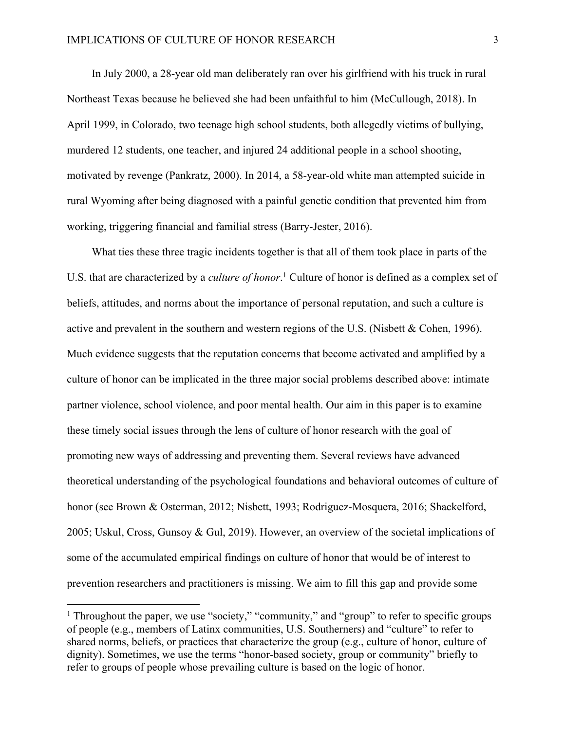In July 2000, a 28-year old man deliberately ran over his girlfriend with his truck in rural Northeast Texas because he believed she had been unfaithful to him (McCullough, 2018). In April 1999, in Colorado, two teenage high school students, both allegedly victims of bullying, murdered 12 students, one teacher, and injured 24 additional people in a school shooting, motivated by revenge (Pankratz, 2000). In 2014, a 58-year-old white man attempted suicide in rural Wyoming after being diagnosed with a painful genetic condition that prevented him from working, triggering financial and familial stress (Barry-Jester, 2016).

What ties these three tragic incidents together is that all of them took place in parts of the U.S. that are characterized by a *culture of honor*. <sup>1</sup> Culture of honor is defined as a complex set of beliefs, attitudes, and norms about the importance of personal reputation, and such a culture is active and prevalent in the southern and western regions of the U.S. (Nisbett & Cohen, 1996). Much evidence suggests that the reputation concerns that become activated and amplified by a culture of honor can be implicated in the three major social problems described above: intimate partner violence, school violence, and poor mental health. Our aim in this paper is to examine these timely social issues through the lens of culture of honor research with the goal of promoting new ways of addressing and preventing them. Several reviews have advanced theoretical understanding of the psychological foundations and behavioral outcomes of culture of honor (see Brown & Osterman, 2012; Nisbett, 1993; Rodriguez-Mosquera, 2016; Shackelford, 2005; Uskul, Cross, Gunsoy & Gul, 2019). However, an overview of the societal implications of some of the accumulated empirical findings on culture of honor that would be of interest to prevention researchers and practitioners is missing. We aim to fill this gap and provide some

<sup>&</sup>lt;sup>1</sup> Throughout the paper, we use "society," "community," and "group" to refer to specific groups of people (e.g., members of Latinx communities, U.S. Southerners) and "culture" to refer to shared norms, beliefs, or practices that characterize the group (e.g., culture of honor, culture of dignity). Sometimes, we use the terms "honor-based society, group or community" briefly to refer to groups of people whose prevailing culture is based on the logic of honor.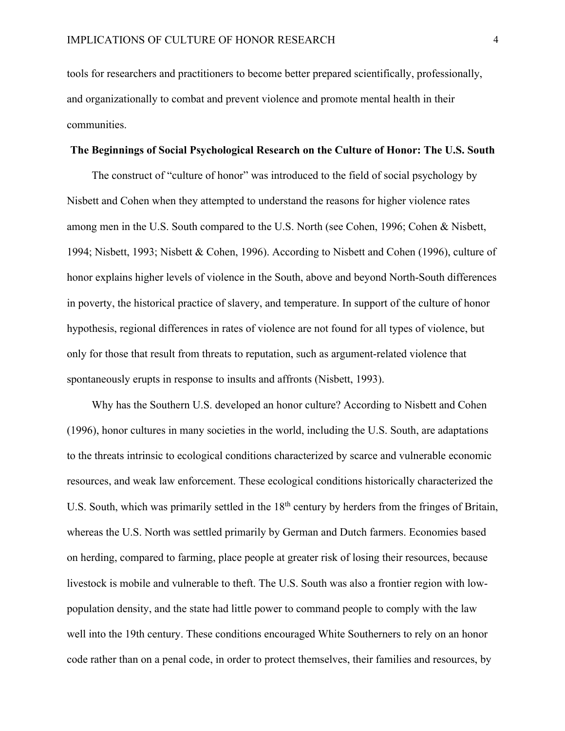tools for researchers and practitioners to become better prepared scientifically, professionally, and organizationally to combat and prevent violence and promote mental health in their communities.

#### **The Beginnings of Social Psychological Research on the Culture of Honor: The U.S. South**

The construct of "culture of honor" was introduced to the field of social psychology by Nisbett and Cohen when they attempted to understand the reasons for higher violence rates among men in the U.S. South compared to the U.S. North (see Cohen, 1996; Cohen & Nisbett, 1994; Nisbett, 1993; Nisbett & Cohen, 1996). According to Nisbett and Cohen (1996), culture of honor explains higher levels of violence in the South, above and beyond North-South differences in poverty, the historical practice of slavery, and temperature. In support of the culture of honor hypothesis, regional differences in rates of violence are not found for all types of violence, but only for those that result from threats to reputation, such as argument-related violence that spontaneously erupts in response to insults and affronts (Nisbett, 1993).

Why has the Southern U.S. developed an honor culture? According to Nisbett and Cohen (1996), honor cultures in many societies in the world, including the U.S. South, are adaptations to the threats intrinsic to ecological conditions characterized by scarce and vulnerable economic resources, and weak law enforcement. These ecological conditions historically characterized the U.S. South, which was primarily settled in the  $18<sup>th</sup>$  century by herders from the fringes of Britain, whereas the U.S. North was settled primarily by German and Dutch farmers. Economies based on herding, compared to farming, place people at greater risk of losing their resources, because livestock is mobile and vulnerable to theft. The U.S. South was also a frontier region with lowpopulation density, and the state had little power to command people to comply with the law well into the 19th century. These conditions encouraged White Southerners to rely on an honor code rather than on a penal code, in order to protect themselves, their families and resources, by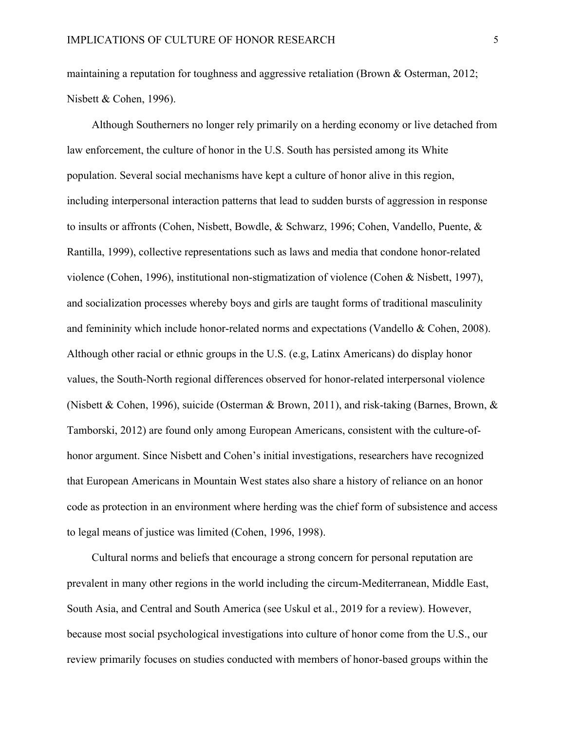maintaining a reputation for toughness and aggressive retaliation (Brown & Osterman, 2012; Nisbett & Cohen, 1996).

Although Southerners no longer rely primarily on a herding economy or live detached from law enforcement, the culture of honor in the U.S. South has persisted among its White population. Several social mechanisms have kept a culture of honor alive in this region, including interpersonal interaction patterns that lead to sudden bursts of aggression in response to insults or affronts (Cohen, Nisbett, Bowdle, & Schwarz, 1996; Cohen, Vandello, Puente, & Rantilla, 1999), collective representations such as laws and media that condone honor-related violence (Cohen, 1996), institutional non-stigmatization of violence (Cohen & Nisbett, 1997), and socialization processes whereby boys and girls are taught forms of traditional masculinity and femininity which include honor-related norms and expectations (Vandello & Cohen, 2008). Although other racial or ethnic groups in the U.S. (e.g, Latinx Americans) do display honor values, the South-North regional differences observed for honor-related interpersonal violence (Nisbett & Cohen, 1996), suicide (Osterman & Brown, 2011), and risk-taking (Barnes, Brown, & Tamborski, 2012) are found only among European Americans, consistent with the culture-ofhonor argument. Since Nisbett and Cohen's initial investigations, researchers have recognized that European Americans in Mountain West states also share a history of reliance on an honor code as protection in an environment where herding was the chief form of subsistence and access to legal means of justice was limited (Cohen, 1996, 1998).

Cultural norms and beliefs that encourage a strong concern for personal reputation are prevalent in many other regions in the world including the circum-Mediterranean, Middle East, South Asia, and Central and South America (see Uskul et al., 2019 for a review). However, because most social psychological investigations into culture of honor come from the U.S., our review primarily focuses on studies conducted with members of honor-based groups within the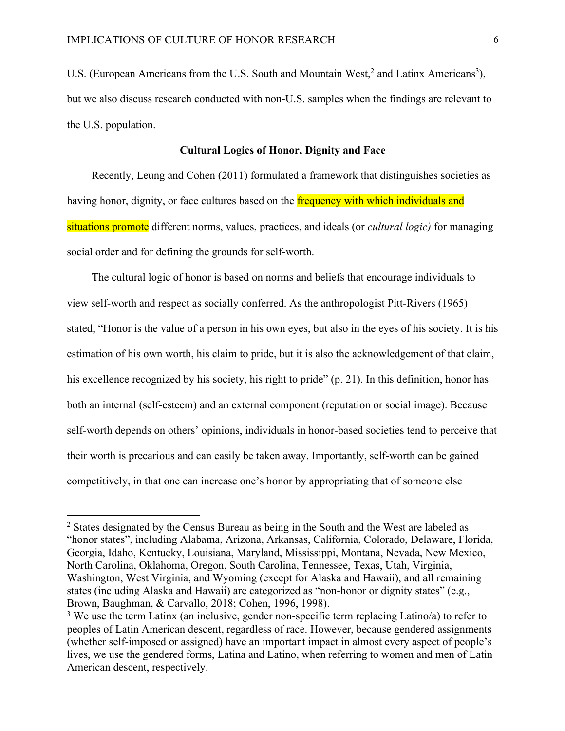U.S. (European Americans from the U.S. South and Mountain West,<sup>2</sup> and Latinx Americans<sup>3</sup>), but we also discuss research conducted with non-U.S. samples when the findings are relevant to the U.S. population.

#### **Cultural Logics of Honor, Dignity and Face**

Recently, Leung and Cohen (2011) formulated a framework that distinguishes societies as having honor, dignity, or face cultures based on the frequency with which individuals and situations promote different norms, values, practices, and ideals (or *cultural logic)* for managing social order and for defining the grounds for self-worth.

The cultural logic of honor is based on norms and beliefs that encourage individuals to view self-worth and respect as socially conferred. As the anthropologist Pitt-Rivers (1965) stated, "Honor is the value of a person in his own eyes, but also in the eyes of his society. It is his estimation of his own worth, his claim to pride, but it is also the acknowledgement of that claim, his excellence recognized by his society, his right to pride" (p. 21). In this definition, honor has both an internal (self-esteem) and an external component (reputation or social image). Because self-worth depends on others' opinions, individuals in honor-based societies tend to perceive that their worth is precarious and can easily be taken away. Importantly, self-worth can be gained competitively, in that one can increase one's honor by appropriating that of someone else

<sup>2</sup> States designated by the Census Bureau as being in the South and the West are labeled as "honor states", including Alabama, Arizona, Arkansas, California, Colorado, Delaware, Florida, Georgia, Idaho, Kentucky, Louisiana, Maryland, Mississippi, Montana, Nevada, New Mexico, North Carolina, Oklahoma, Oregon, South Carolina, Tennessee, Texas, Utah, Virginia, Washington, West Virginia, and Wyoming (except for Alaska and Hawaii), and all remaining states (including Alaska and Hawaii) are categorized as "non-honor or dignity states" (e.g., Brown, Baughman, & Carvallo, 2018; Cohen, 1996, 1998).

 $3$  We use the term Latinx (an inclusive, gender non-specific term replacing Latino/a) to refer to peoples of Latin American descent, regardless of race. However, because gendered assignments (whether self-imposed or assigned) have an important impact in almost every aspect of people's lives, we use the gendered forms, Latina and Latino, when referring to women and men of Latin American descent, respectively.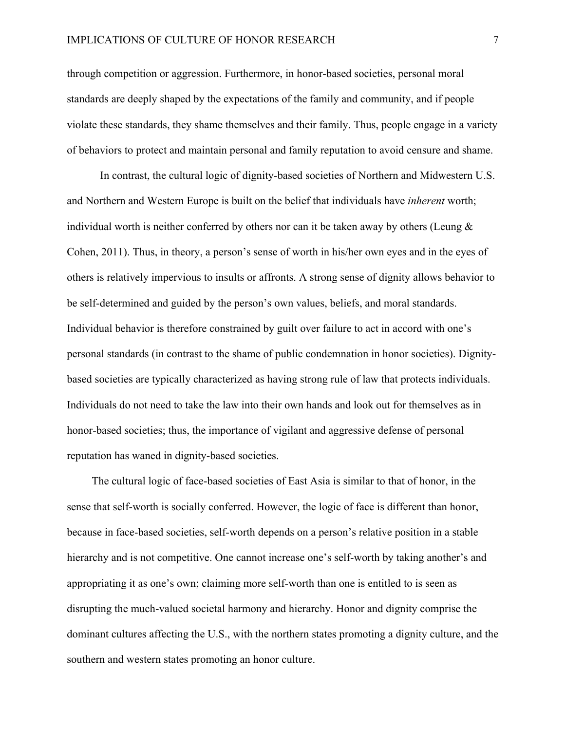through competition or aggression. Furthermore, in honor-based societies, personal moral standards are deeply shaped by the expectations of the family and community, and if people violate these standards, they shame themselves and their family. Thus, people engage in a variety of behaviors to protect and maintain personal and family reputation to avoid censure and shame.

In contrast, the cultural logic of dignity-based societies of Northern and Midwestern U.S. and Northern and Western Europe is built on the belief that individuals have *inherent* worth; individual worth is neither conferred by others nor can it be taken away by others (Leung  $\&$ Cohen, 2011). Thus, in theory, a person's sense of worth in his/her own eyes and in the eyes of others is relatively impervious to insults or affronts. A strong sense of dignity allows behavior to be self-determined and guided by the person's own values, beliefs, and moral standards. Individual behavior is therefore constrained by guilt over failure to act in accord with one's personal standards (in contrast to the shame of public condemnation in honor societies). Dignitybased societies are typically characterized as having strong rule of law that protects individuals. Individuals do not need to take the law into their own hands and look out for themselves as in honor-based societies; thus, the importance of vigilant and aggressive defense of personal reputation has waned in dignity-based societies.

The cultural logic of face-based societies of East Asia is similar to that of honor, in the sense that self-worth is socially conferred. However, the logic of face is different than honor, because in face-based societies, self-worth depends on a person's relative position in a stable hierarchy and is not competitive. One cannot increase one's self-worth by taking another's and appropriating it as one's own; claiming more self-worth than one is entitled to is seen as disrupting the much-valued societal harmony and hierarchy. Honor and dignity comprise the dominant cultures affecting the U.S., with the northern states promoting a dignity culture, and the southern and western states promoting an honor culture.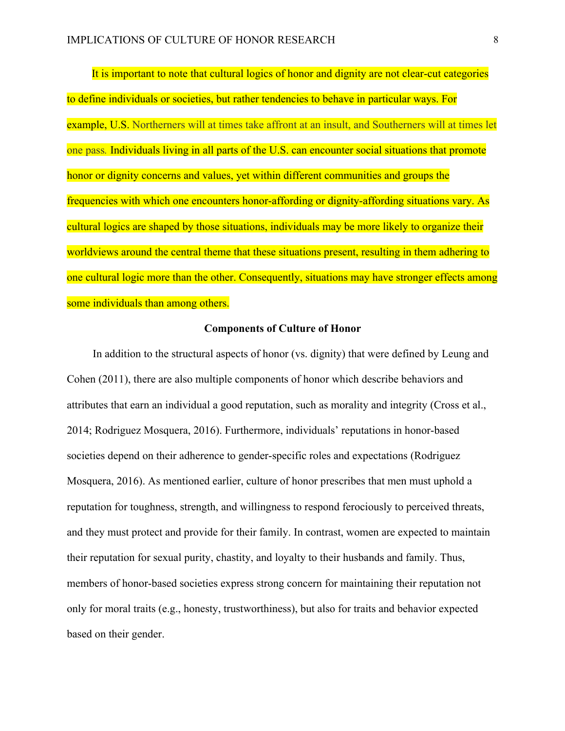It is important to note that cultural logics of honor and dignity are not clear-cut categories to define individuals or societies, but rather tendencies to behave in particular ways. For example, U.S. Northerners will at times take affront at an insult, and Southerners will at times let one pass*.* Individuals living in all parts of the U.S. can encounter social situations that promote honor or dignity concerns and values, yet within different communities and groups the frequencies with which one encounters honor-affording or dignity-affording situations vary. As cultural logics are shaped by those situations, individuals may be more likely to organize their worldviews around the central theme that these situations present, resulting in them adhering to one cultural logic more than the other. Consequently, situations may have stronger effects among some individuals than among others.

#### **Components of Culture of Honor**

In addition to the structural aspects of honor (vs. dignity) that were defined by Leung and Cohen (2011), there are also multiple components of honor which describe behaviors and attributes that earn an individual a good reputation, such as morality and integrity (Cross et al., 2014; Rodriguez Mosquera, 2016). Furthermore, individuals' reputations in honor-based societies depend on their adherence to gender-specific roles and expectations (Rodriguez Mosquera, 2016). As mentioned earlier, culture of honor prescribes that men must uphold a reputation for toughness, strength, and willingness to respond ferociously to perceived threats, and they must protect and provide for their family. In contrast, women are expected to maintain their reputation for sexual purity, chastity, and loyalty to their husbands and family. Thus, members of honor-based societies express strong concern for maintaining their reputation not only for moral traits (e.g., honesty, trustworthiness), but also for traits and behavior expected based on their gender.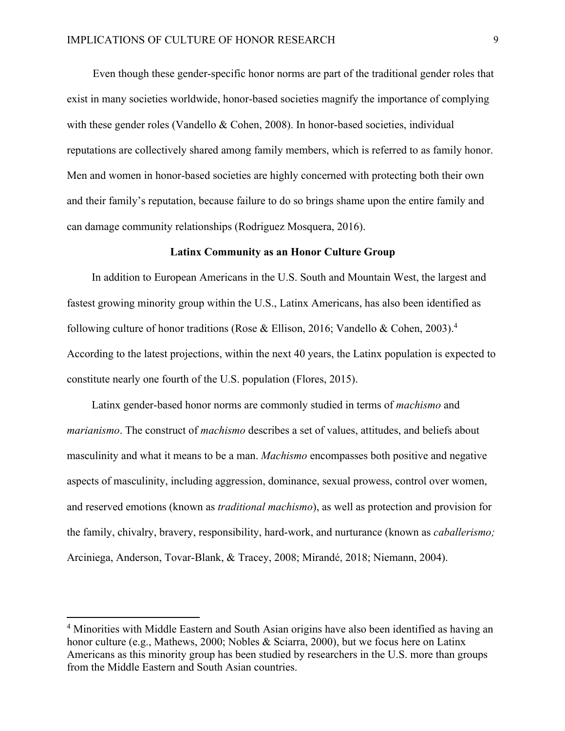Even though these gender-specific honor norms are part of the traditional gender roles that exist in many societies worldwide, honor-based societies magnify the importance of complying with these gender roles (Vandello & Cohen, 2008). In honor-based societies, individual reputations are collectively shared among family members, which is referred to as family honor. Men and women in honor-based societies are highly concerned with protecting both their own and their family's reputation, because failure to do so brings shame upon the entire family and can damage community relationships (Rodriguez Mosquera, 2016).

#### **Latinx Community as an Honor Culture Group**

In addition to European Americans in the U.S. South and Mountain West, the largest and fastest growing minority group within the U.S., Latinx Americans, has also been identified as following culture of honor traditions (Rose & Ellison, 2016; Vandello & Cohen, 2003).4 According to the latest projections, within the next 40 years, the Latinx population is expected to constitute nearly one fourth of the U.S. population (Flores, 2015).

Latinx gender-based honor norms are commonly studied in terms of *machismo* and *marianismo*. The construct of *machismo* describes a set of values, attitudes, and beliefs about masculinity and what it means to be a man. *Machismo* encompasses both positive and negative aspects of masculinity, including aggression, dominance, sexual prowess, control over women, and reserved emotions (known as *traditional machismo*), as well as protection and provision for the family, chivalry, bravery, responsibility, hard-work, and nurturance (known as *caballerismo;* Arciniega, Anderson, Tovar-Blank, & Tracey, 2008; Mirandé, 2018; Niemann, 2004).

<sup>4</sup> Minorities with Middle Eastern and South Asian origins have also been identified as having an honor culture (e.g., Mathews, 2000; Nobles & Sciarra, 2000), but we focus here on Latinx Americans as this minority group has been studied by researchers in the U.S. more than groups from the Middle Eastern and South Asian countries.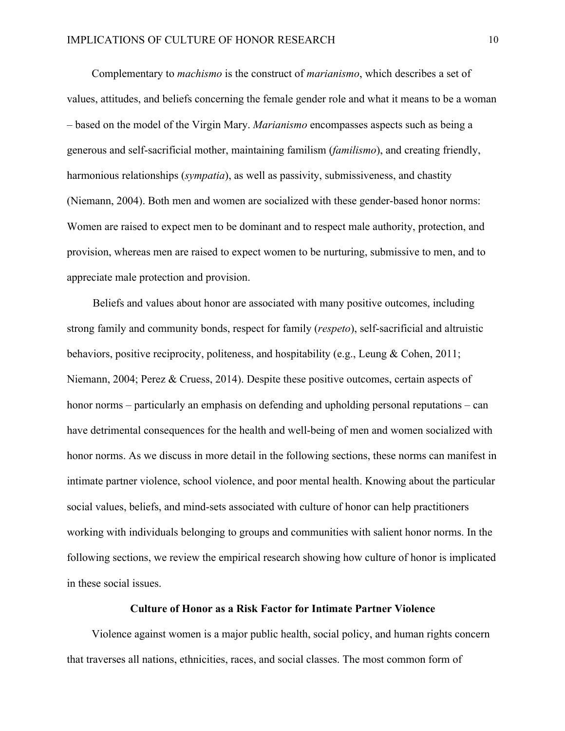Complementary to *machismo* is the construct of *marianismo*, which describes a set of values, attitudes, and beliefs concerning the female gender role and what it means to be a woman – based on the model of the Virgin Mary. *Marianismo* encompasses aspects such as being a generous and self-sacrificial mother, maintaining familism (*familismo*), and creating friendly, harmonious relationships (*sympatia*), as well as passivity, submissiveness, and chastity (Niemann, 2004). Both men and women are socialized with these gender-based honor norms: Women are raised to expect men to be dominant and to respect male authority, protection, and provision, whereas men are raised to expect women to be nurturing, submissive to men, and to appreciate male protection and provision.

Beliefs and values about honor are associated with many positive outcomes, including strong family and community bonds, respect for family (*respeto*), self-sacrificial and altruistic behaviors, positive reciprocity, politeness, and hospitability (e.g., Leung & Cohen, 2011; Niemann, 2004; Perez & Cruess, 2014). Despite these positive outcomes, certain aspects of honor norms – particularly an emphasis on defending and upholding personal reputations – can have detrimental consequences for the health and well-being of men and women socialized with honor norms. As we discuss in more detail in the following sections, these norms can manifest in intimate partner violence, school violence, and poor mental health. Knowing about the particular social values, beliefs, and mind-sets associated with culture of honor can help practitioners working with individuals belonging to groups and communities with salient honor norms. In the following sections, we review the empirical research showing how culture of honor is implicated in these social issues.

#### **Culture of Honor as a Risk Factor for Intimate Partner Violence**

Violence against women is a major public health, social policy, and human rights concern that traverses all nations, ethnicities, races, and social classes. The most common form of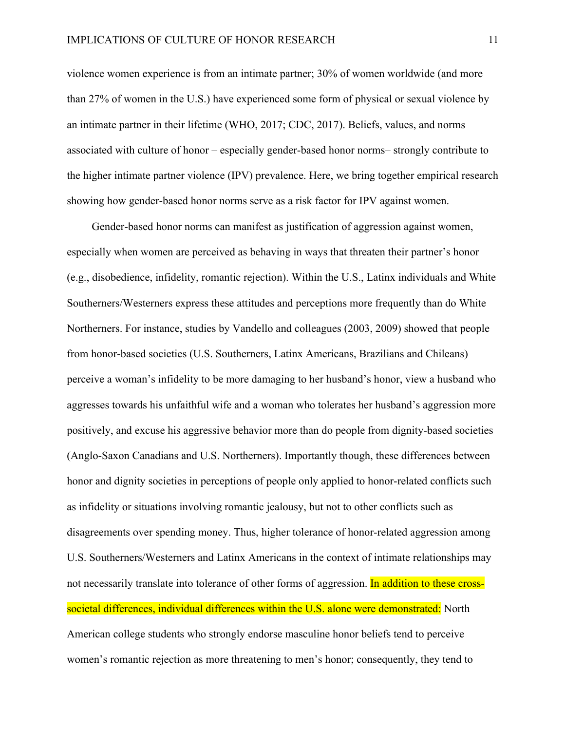violence women experience is from an intimate partner; 30% of women worldwide (and more than 27% of women in the U.S.) have experienced some form of physical or sexual violence by an intimate partner in their lifetime (WHO, 2017; CDC, 2017). Beliefs, values, and norms associated with culture of honor – especially gender-based honor norms– strongly contribute to the higher intimate partner violence (IPV) prevalence. Here, we bring together empirical research showing how gender-based honor norms serve as a risk factor for IPV against women.

Gender-based honor norms can manifest as justification of aggression against women, especially when women are perceived as behaving in ways that threaten their partner's honor (e.g., disobedience, infidelity, romantic rejection). Within the U.S., Latinx individuals and White Southerners/Westerners express these attitudes and perceptions more frequently than do White Northerners. For instance, studies by Vandello and colleagues (2003, 2009) showed that people from honor-based societies (U.S. Southerners, Latinx Americans, Brazilians and Chileans) perceive a woman's infidelity to be more damaging to her husband's honor, view a husband who aggresses towards his unfaithful wife and a woman who tolerates her husband's aggression more positively, and excuse his aggressive behavior more than do people from dignity-based societies (Anglo-Saxon Canadians and U.S. Northerners). Importantly though, these differences between honor and dignity societies in perceptions of people only applied to honor-related conflicts such as infidelity or situations involving romantic jealousy, but not to other conflicts such as disagreements over spending money. Thus, higher tolerance of honor-related aggression among U.S. Southerners/Westerners and Latinx Americans in the context of intimate relationships may not necessarily translate into tolerance of other forms of aggression. In addition to these crosssocietal differences, individual differences within the U.S. alone were demonstrated: North American college students who strongly endorse masculine honor beliefs tend to perceive women's romantic rejection as more threatening to men's honor; consequently, they tend to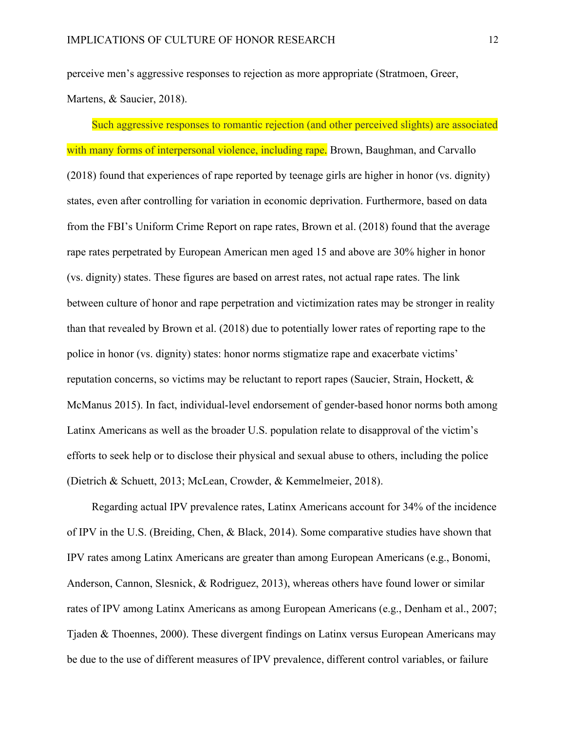perceive men's aggressive responses to rejection as more appropriate (Stratmoen, Greer, Martens, & Saucier, 2018).

Such aggressive responses to romantic rejection (and other perceived slights) are associated with many forms of interpersonal violence, including rape. Brown, Baughman, and Carvallo (2018) found that experiences of rape reported by teenage girls are higher in honor (vs. dignity) states, even after controlling for variation in economic deprivation. Furthermore, based on data from the FBI's Uniform Crime Report on rape rates, Brown et al. (2018) found that the average rape rates perpetrated by European American men aged 15 and above are 30% higher in honor (vs. dignity) states. These figures are based on arrest rates, not actual rape rates. The link between culture of honor and rape perpetration and victimization rates may be stronger in reality than that revealed by Brown et al. (2018) due to potentially lower rates of reporting rape to the police in honor (vs. dignity) states: honor norms stigmatize rape and exacerbate victims' reputation concerns, so victims may be reluctant to report rapes (Saucier, Strain, Hockett, & McManus 2015). In fact, individual-level endorsement of gender-based honor norms both among Latinx Americans as well as the broader U.S. population relate to disapproval of the victim's efforts to seek help or to disclose their physical and sexual abuse to others, including the police (Dietrich & Schuett, 2013; McLean, Crowder, & Kemmelmeier, 2018).

Regarding actual IPV prevalence rates, Latinx Americans account for 34% of the incidence of IPV in the U.S. (Breiding, Chen, & Black, 2014). Some comparative studies have shown that IPV rates among Latinx Americans are greater than among European Americans (e.g., Bonomi, Anderson, Cannon, Slesnick, & Rodriguez, 2013), whereas others have found lower or similar rates of IPV among Latinx Americans as among European Americans (e.g., Denham et al., 2007; Tjaden & Thoennes, 2000). These divergent findings on Latinx versus European Americans may be due to the use of different measures of IPV prevalence, different control variables, or failure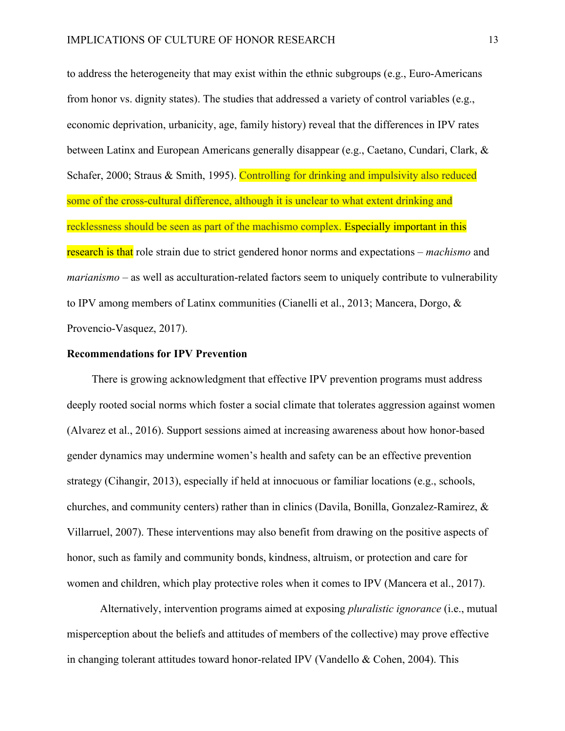to address the heterogeneity that may exist within the ethnic subgroups (e.g., Euro-Americans from honor vs. dignity states). The studies that addressed a variety of control variables (e.g., economic deprivation, urbanicity, age, family history) reveal that the differences in IPV rates between Latinx and European Americans generally disappear (e.g., Caetano, Cundari, Clark, & Schafer, 2000; Straus & Smith, 1995). Controlling for drinking and impulsivity also reduced some of the cross-cultural difference, although it is unclear to what extent drinking and recklessness should be seen as part of the machismo complex. Especially important in this research is that role strain due to strict gendered honor norms and expectations – *machismo* and *marianismo* – as well as acculturation-related factors seem to uniquely contribute to vulnerability to IPV among members of Latinx communities (Cianelli et al., 2013; Mancera, Dorgo, & Provencio-Vasquez, 2017).

#### **Recommendations for IPV Prevention**

There is growing acknowledgment that effective IPV prevention programs must address deeply rooted social norms which foster a social climate that tolerates aggression against women (Alvarez et al., 2016). Support sessions aimed at increasing awareness about how honor-based gender dynamics may undermine women's health and safety can be an effective prevention strategy (Cihangir, 2013), especially if held at innocuous or familiar locations (e.g., schools, churches, and community centers) rather than in clinics (Davila, Bonilla, Gonzalez-Ramirez, & Villarruel, 2007). These interventions may also benefit from drawing on the positive aspects of honor, such as family and community bonds, kindness, altruism, or protection and care for women and children, which play protective roles when it comes to IPV (Mancera et al., 2017).

Alternatively, intervention programs aimed at exposing *pluralistic ignorance* (i.e., mutual misperception about the beliefs and attitudes of members of the collective) may prove effective in changing tolerant attitudes toward honor-related IPV (Vandello & Cohen, 2004). This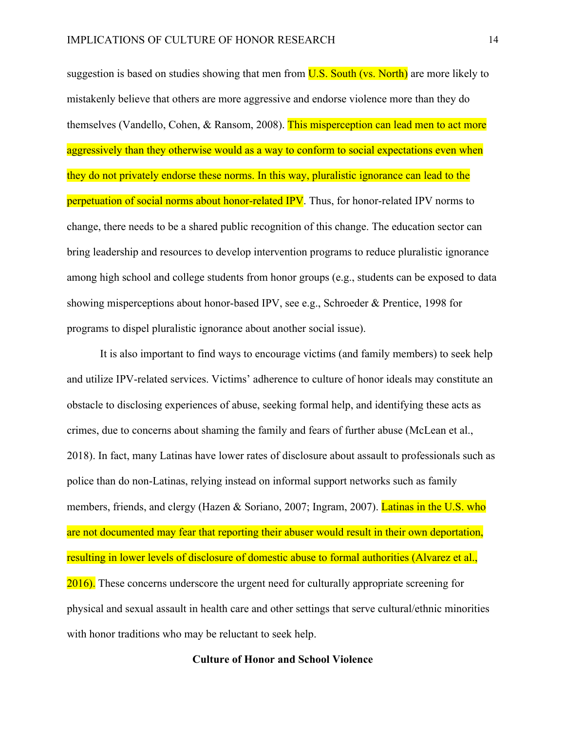suggestion is based on studies showing that men from **U.S. South (vs. North)** are more likely to mistakenly believe that others are more aggressive and endorse violence more than they do themselves (Vandello, Cohen, & Ransom, 2008). This misperception can lead men to act more aggressively than they otherwise would as a way to conform to social expectations even when they do not privately endorse these norms. In this way, pluralistic ignorance can lead to the perpetuation of social norms about honor-related IPV. Thus, for honor-related IPV norms to change, there needs to be a shared public recognition of this change. The education sector can bring leadership and resources to develop intervention programs to reduce pluralistic ignorance among high school and college students from honor groups (e.g., students can be exposed to data showing misperceptions about honor-based IPV, see e.g., Schroeder & Prentice, 1998 for programs to dispel pluralistic ignorance about another social issue).

It is also important to find ways to encourage victims (and family members) to seek help and utilize IPV-related services. Victims' adherence to culture of honor ideals may constitute an obstacle to disclosing experiences of abuse, seeking formal help, and identifying these acts as crimes, due to concerns about shaming the family and fears of further abuse (McLean et al., 2018). In fact, many Latinas have lower rates of disclosure about assault to professionals such as police than do non-Latinas, relying instead on informal support networks such as family members, friends, and clergy (Hazen & Soriano, 2007; Ingram, 2007). Latinas in the U.S. who are not documented may fear that reporting their abuser would result in their own deportation, resulting in lower levels of disclosure of domestic abuse to formal authorities (Alvarez et al., 2016). These concerns underscore the urgent need for culturally appropriate screening for physical and sexual assault in health care and other settings that serve cultural/ethnic minorities with honor traditions who may be reluctant to seek help.

#### **Culture of Honor and School Violence**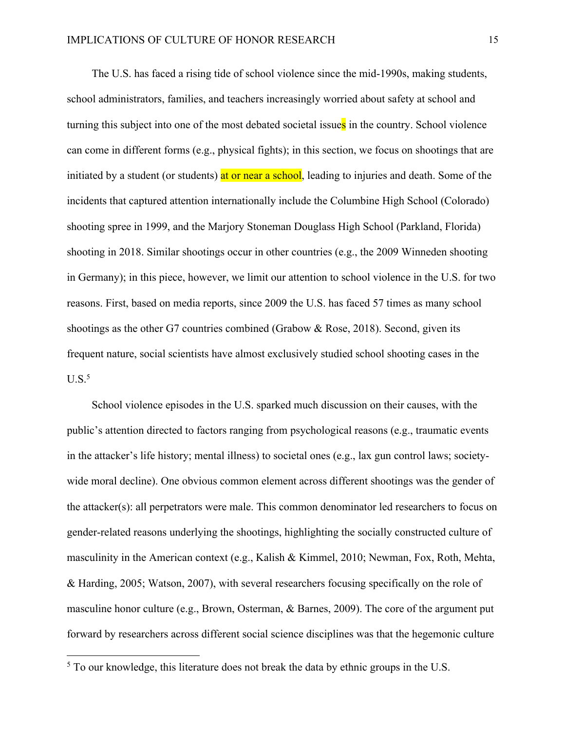The U.S. has faced a rising tide of school violence since the mid-1990s, making students, school administrators, families, and teachers increasingly worried about safety at school and turning this subject into one of the most debated societal issues in the country. School violence can come in different forms (e.g., physical fights); in this section, we focus on shootings that are initiated by a student (or students) at or near a school, leading to injuries and death. Some of the incidents that captured attention internationally include the Columbine High School (Colorado) shooting spree in 1999, and the Marjory Stoneman Douglass High School (Parkland, Florida) shooting in 2018. Similar shootings occur in other countries (e.g., the 2009 Winneden shooting in Germany); in this piece, however, we limit our attention to school violence in the U.S. for two reasons. First, based on media reports, since 2009 the U.S. has faced 57 times as many school shootings as the other G7 countries combined (Grabow & Rose, 2018). Second, given its frequent nature, social scientists have almost exclusively studied school shooting cases in the  $U.S.<sup>5</sup>$ 

School violence episodes in the U.S. sparked much discussion on their causes, with the public's attention directed to factors ranging from psychological reasons (e.g., traumatic events in the attacker's life history; mental illness) to societal ones (e.g., lax gun control laws; societywide moral decline). One obvious common element across different shootings was the gender of the attacker(s): all perpetrators were male. This common denominator led researchers to focus on gender-related reasons underlying the shootings, highlighting the socially constructed culture of masculinity in the American context (e.g., Kalish & Kimmel, 2010; Newman, Fox, Roth, Mehta, & Harding, 2005; Watson, 2007), with several researchers focusing specifically on the role of masculine honor culture (e.g., Brown, Osterman, & Barnes, 2009). The core of the argument put forward by researchers across different social science disciplines was that the hegemonic culture

<sup>5</sup> To our knowledge, this literature does not break the data by ethnic groups in the U.S.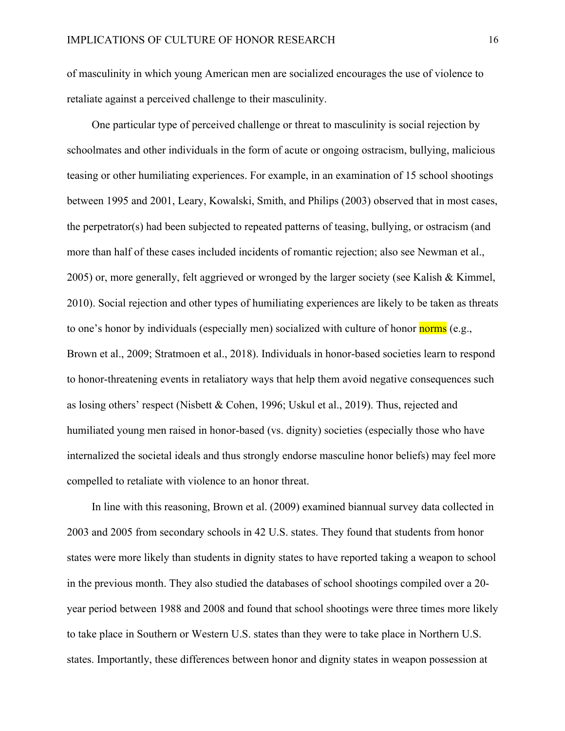of masculinity in which young American men are socialized encourages the use of violence to retaliate against a perceived challenge to their masculinity.

One particular type of perceived challenge or threat to masculinity is social rejection by schoolmates and other individuals in the form of acute or ongoing ostracism, bullying, malicious teasing or other humiliating experiences. For example, in an examination of 15 school shootings between 1995 and 2001, Leary, Kowalski, Smith, and Philips (2003) observed that in most cases, the perpetrator(s) had been subjected to repeated patterns of teasing, bullying, or ostracism (and more than half of these cases included incidents of romantic rejection; also see Newman et al., 2005) or, more generally, felt aggrieved or wronged by the larger society (see Kalish & Kimmel, 2010). Social rejection and other types of humiliating experiences are likely to be taken as threats to one's honor by individuals (especially men) socialized with culture of honor norms (e.g., Brown et al., 2009; Stratmoen et al., 2018). Individuals in honor-based societies learn to respond to honor-threatening events in retaliatory ways that help them avoid negative consequences such as losing others' respect (Nisbett & Cohen, 1996; Uskul et al., 2019). Thus, rejected and humiliated young men raised in honor-based (vs. dignity) societies (especially those who have internalized the societal ideals and thus strongly endorse masculine honor beliefs) may feel more compelled to retaliate with violence to an honor threat.

In line with this reasoning, Brown et al. (2009) examined biannual survey data collected in 2003 and 2005 from secondary schools in 42 U.S. states. They found that students from honor states were more likely than students in dignity states to have reported taking a weapon to school in the previous month. They also studied the databases of school shootings compiled over a 20 year period between 1988 and 2008 and found that school shootings were three times more likely to take place in Southern or Western U.S. states than they were to take place in Northern U.S. states. Importantly, these differences between honor and dignity states in weapon possession at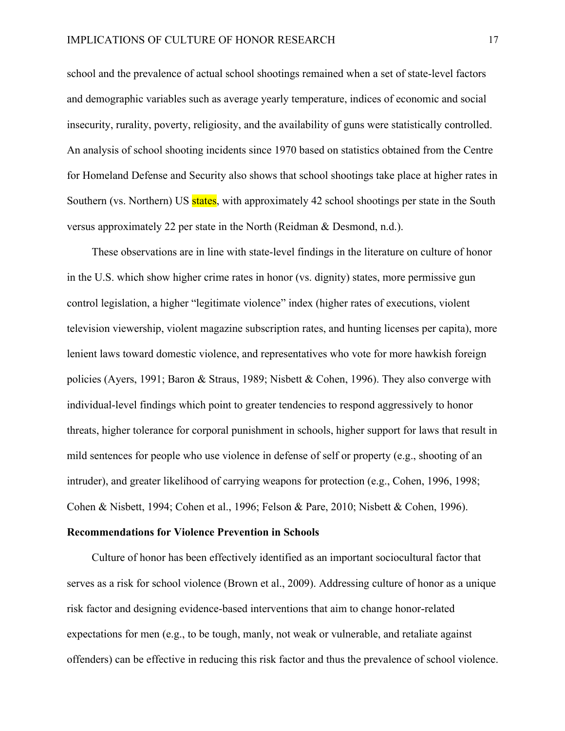school and the prevalence of actual school shootings remained when a set of state-level factors and demographic variables such as average yearly temperature, indices of economic and social insecurity, rurality, poverty, religiosity, and the availability of guns were statistically controlled. An analysis of school shooting incidents since 1970 based on statistics obtained from the Centre for Homeland Defense and Security also shows that school shootings take place at higher rates in Southern (vs. Northern) US states, with approximately 42 school shootings per state in the South versus approximately 22 per state in the North (Reidman & Desmond, n.d.).

These observations are in line with state-level findings in the literature on culture of honor in the U.S. which show higher crime rates in honor (vs. dignity) states, more permissive gun control legislation, a higher "legitimate violence" index (higher rates of executions, violent television viewership, violent magazine subscription rates, and hunting licenses per capita), more lenient laws toward domestic violence, and representatives who vote for more hawkish foreign policies (Ayers, 1991; Baron & Straus, 1989; Nisbett & Cohen, 1996). They also converge with individual-level findings which point to greater tendencies to respond aggressively to honor threats, higher tolerance for corporal punishment in schools, higher support for laws that result in mild sentences for people who use violence in defense of self or property (e.g., shooting of an intruder), and greater likelihood of carrying weapons for protection (e.g., Cohen, 1996, 1998; Cohen & Nisbett, 1994; Cohen et al., 1996; Felson & Pare, 2010; Nisbett & Cohen, 1996).

#### **Recommendations for Violence Prevention in Schools**

Culture of honor has been effectively identified as an important sociocultural factor that serves as a risk for school violence (Brown et al., 2009). Addressing culture of honor as a unique risk factor and designing evidence-based interventions that aim to change honor-related expectations for men (e.g., to be tough, manly, not weak or vulnerable, and retaliate against offenders) can be effective in reducing this risk factor and thus the prevalence of school violence.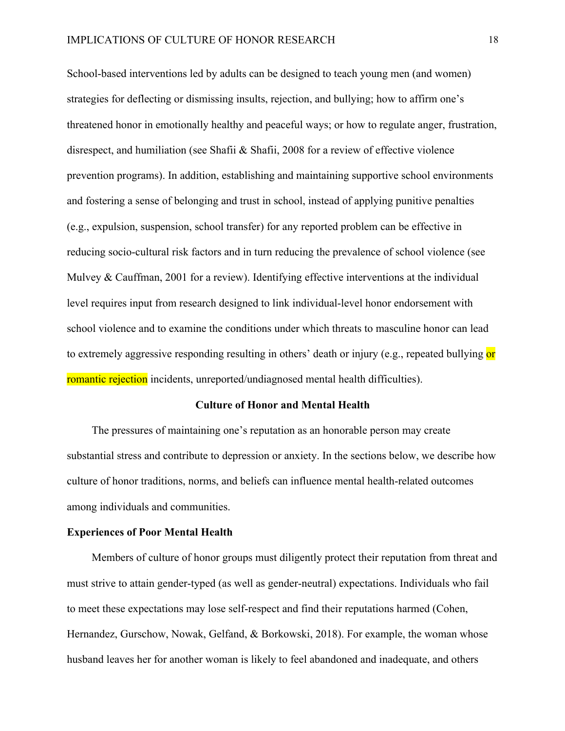School-based interventions led by adults can be designed to teach young men (and women) strategies for deflecting or dismissing insults, rejection, and bullying; how to affirm one's threatened honor in emotionally healthy and peaceful ways; or how to regulate anger, frustration, disrespect, and humiliation (see Shafii & Shafii, 2008 for a review of effective violence prevention programs). In addition, establishing and maintaining supportive school environments and fostering a sense of belonging and trust in school, instead of applying punitive penalties (e.g., expulsion, suspension, school transfer) for any reported problem can be effective in reducing socio-cultural risk factors and in turn reducing the prevalence of school violence (see Mulvey & Cauffman, 2001 for a review). Identifying effective interventions at the individual level requires input from research designed to link individual-level honor endorsement with school violence and to examine the conditions under which threats to masculine honor can lead to extremely aggressive responding resulting in others' death or injury (e.g., repeated bullying or romantic rejection incidents, unreported/undiagnosed mental health difficulties).

#### **Culture of Honor and Mental Health**

The pressures of maintaining one's reputation as an honorable person may create substantial stress and contribute to depression or anxiety. In the sections below, we describe how culture of honor traditions, norms, and beliefs can influence mental health-related outcomes among individuals and communities.

#### **Experiences of Poor Mental Health**

Members of culture of honor groups must diligently protect their reputation from threat and must strive to attain gender-typed (as well as gender-neutral) expectations. Individuals who fail to meet these expectations may lose self-respect and find their reputations harmed (Cohen, Hernandez, Gurschow, Nowak, Gelfand, & Borkowski, 2018). For example, the woman whose husband leaves her for another woman is likely to feel abandoned and inadequate, and others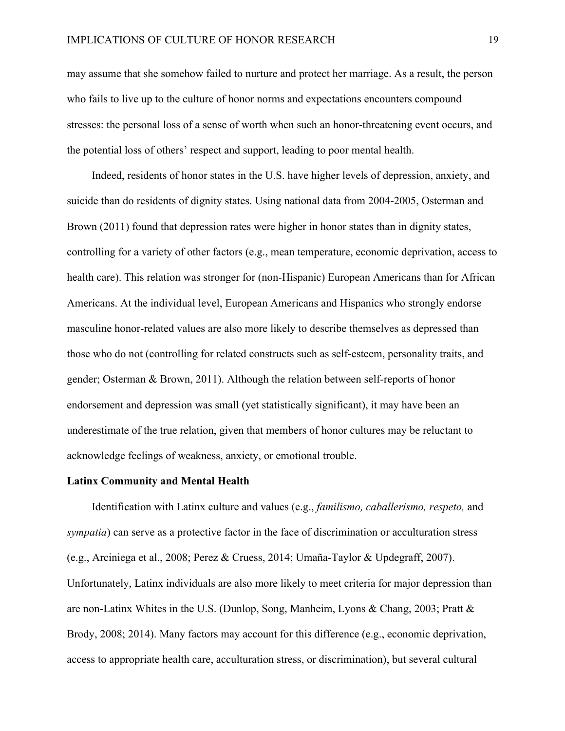may assume that she somehow failed to nurture and protect her marriage. As a result, the person who fails to live up to the culture of honor norms and expectations encounters compound stresses: the personal loss of a sense of worth when such an honor-threatening event occurs, and the potential loss of others' respect and support, leading to poor mental health.

Indeed, residents of honor states in the U.S. have higher levels of depression, anxiety, and suicide than do residents of dignity states. Using national data from 2004-2005, Osterman and Brown (2011) found that depression rates were higher in honor states than in dignity states, controlling for a variety of other factors (e.g., mean temperature, economic deprivation, access to health care). This relation was stronger for (non-Hispanic) European Americans than for African Americans. At the individual level, European Americans and Hispanics who strongly endorse masculine honor-related values are also more likely to describe themselves as depressed than those who do not (controlling for related constructs such as self-esteem, personality traits, and gender; Osterman & Brown, 2011). Although the relation between self-reports of honor endorsement and depression was small (yet statistically significant), it may have been an underestimate of the true relation, given that members of honor cultures may be reluctant to acknowledge feelings of weakness, anxiety, or emotional trouble.

#### **Latinx Community and Mental Health**

Identification with Latinx culture and values (e.g., *familismo, caballerismo, respeto,* and *sympatia*) can serve as a protective factor in the face of discrimination or acculturation stress (e.g., Arciniega et al., 2008; Perez & Cruess, 2014; Umaña-Taylor & Updegraff, 2007). Unfortunately, Latinx individuals are also more likely to meet criteria for major depression than are non-Latinx Whites in the U.S. (Dunlop, Song, Manheim, Lyons & Chang, 2003; Pratt & Brody, 2008; 2014). Many factors may account for this difference (e.g., economic deprivation, access to appropriate health care, acculturation stress, or discrimination), but several cultural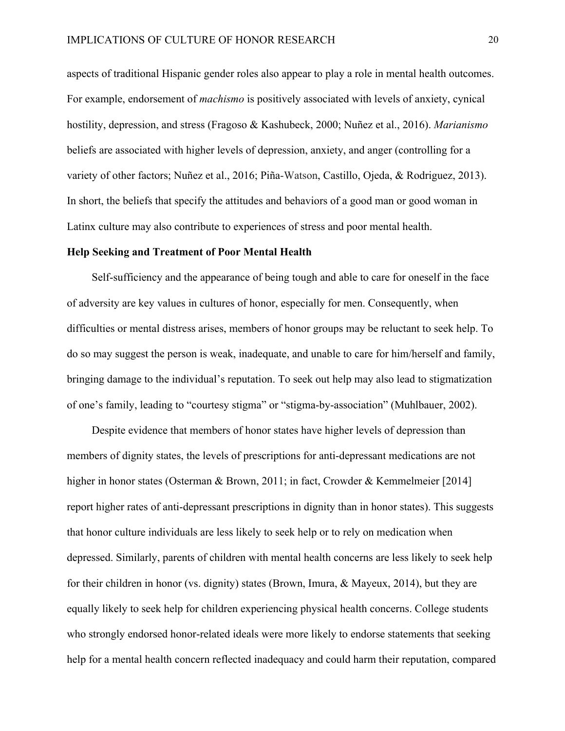aspects of traditional Hispanic gender roles also appear to play a role in mental health outcomes. For example, endorsement of *machismo* is positively associated with levels of anxiety, cynical hostility, depression, and stress (Fragoso & Kashubeck, 2000; Nuñez et al., 2016). *Marianismo* beliefs are associated with higher levels of depression, anxiety, and anger (controlling for a variety of other factors; Nuñez et al., 2016; Piña-Watson, Castillo, Ojeda, & Rodriguez, 2013). In short, the beliefs that specify the attitudes and behaviors of a good man or good woman in Latinx culture may also contribute to experiences of stress and poor mental health.

#### **Help Seeking and Treatment of Poor Mental Health**

Self-sufficiency and the appearance of being tough and able to care for oneself in the face of adversity are key values in cultures of honor, especially for men. Consequently, when difficulties or mental distress arises, members of honor groups may be reluctant to seek help. To do so may suggest the person is weak, inadequate, and unable to care for him/herself and family, bringing damage to the individual's reputation. To seek out help may also lead to stigmatization of one's family, leading to "courtesy stigma" or "stigma-by-association" (Muhlbauer, 2002).

Despite evidence that members of honor states have higher levels of depression than members of dignity states, the levels of prescriptions for anti-depressant medications are not higher in honor states (Osterman & Brown, 2011; in fact, Crowder & Kemmelmeier [2014] report higher rates of anti-depressant prescriptions in dignity than in honor states). This suggests that honor culture individuals are less likely to seek help or to rely on medication when depressed. Similarly, parents of children with mental health concerns are less likely to seek help for their children in honor (vs. dignity) states (Brown, Imura, & Mayeux, 2014), but they are equally likely to seek help for children experiencing physical health concerns. College students who strongly endorsed honor-related ideals were more likely to endorse statements that seeking help for a mental health concern reflected inadequacy and could harm their reputation, compared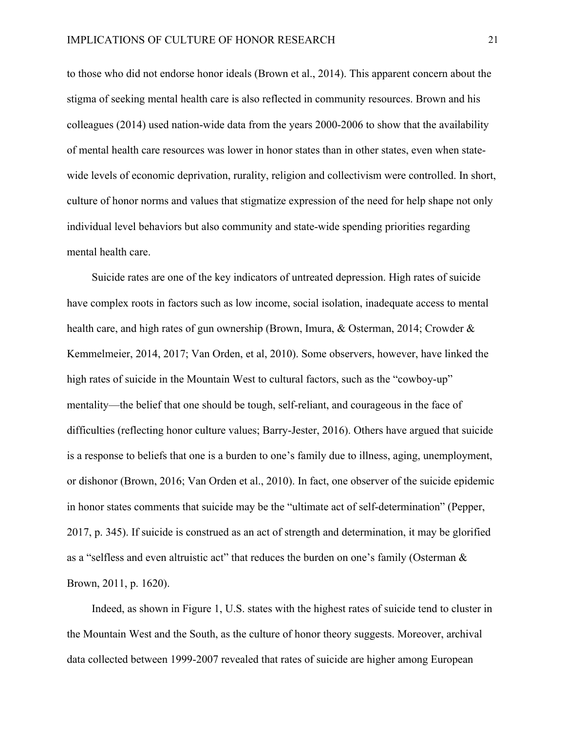to those who did not endorse honor ideals (Brown et al., 2014). This apparent concern about the stigma of seeking mental health care is also reflected in community resources. Brown and his colleagues (2014) used nation-wide data from the years 2000-2006 to show that the availability of mental health care resources was lower in honor states than in other states, even when statewide levels of economic deprivation, rurality, religion and collectivism were controlled. In short, culture of honor norms and values that stigmatize expression of the need for help shape not only individual level behaviors but also community and state-wide spending priorities regarding mental health care.

Suicide rates are one of the key indicators of untreated depression. High rates of suicide have complex roots in factors such as low income, social isolation, inadequate access to mental health care, and high rates of gun ownership (Brown, Imura, & Osterman, 2014; Crowder & Kemmelmeier, 2014, 2017; Van Orden, et al, 2010). Some observers, however, have linked the high rates of suicide in the Mountain West to cultural factors, such as the "cowboy-up" mentality—the belief that one should be tough, self-reliant, and courageous in the face of difficulties (reflecting honor culture values; Barry-Jester, 2016). Others have argued that suicide is a response to beliefs that one is a burden to one's family due to illness, aging, unemployment, or dishonor (Brown, 2016; Van Orden et al., 2010). In fact, one observer of the suicide epidemic in honor states comments that suicide may be the "ultimate act of self-determination" (Pepper, 2017, p. 345). If suicide is construed as an act of strength and determination, it may be glorified as a "selfless and even altruistic act" that reduces the burden on one's family (Osterman & Brown, 2011, p. 1620).

Indeed, as shown in Figure 1, U.S. states with the highest rates of suicide tend to cluster in the Mountain West and the South, as the culture of honor theory suggests. Moreover, archival data collected between 1999-2007 revealed that rates of suicide are higher among European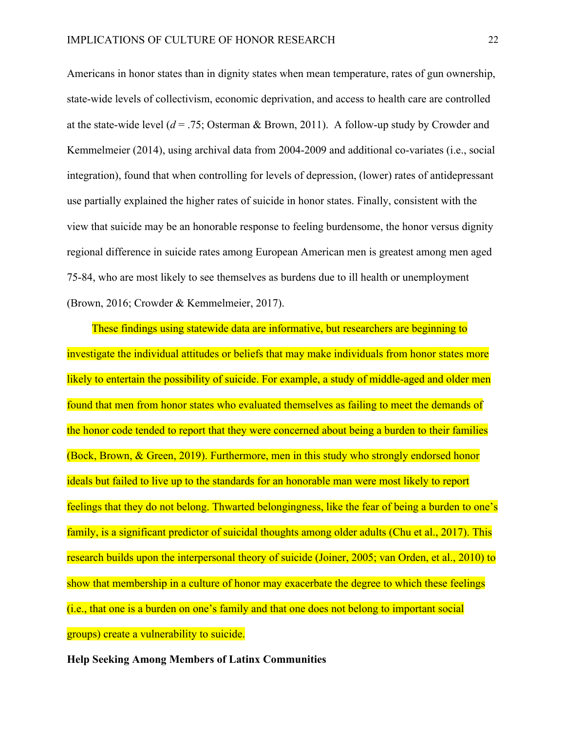Americans in honor states than in dignity states when mean temperature, rates of gun ownership, state-wide levels of collectivism, economic deprivation, and access to health care are controlled at the state-wide level ( $d = .75$ ; Osterman & Brown, 2011). A follow-up study by Crowder and Kemmelmeier (2014), using archival data from 2004-2009 and additional co-variates (i.e., social integration), found that when controlling for levels of depression, (lower) rates of antidepressant use partially explained the higher rates of suicide in honor states. Finally, consistent with the view that suicide may be an honorable response to feeling burdensome, the honor versus dignity regional difference in suicide rates among European American men is greatest among men aged 75-84, who are most likely to see themselves as burdens due to ill health or unemployment (Brown, 2016; Crowder & Kemmelmeier, 2017).

These findings using statewide data are informative, but researchers are beginning to investigate the individual attitudes or beliefs that may make individuals from honor states more likely to entertain the possibility of suicide. For example, a study of middle-aged and older men found that men from honor states who evaluated themselves as failing to meet the demands of the honor code tended to report that they were concerned about being a burden to their families (Bock, Brown, & Green, 2019). Furthermore, men in this study who strongly endorsed honor ideals but failed to live up to the standards for an honorable man were most likely to report feelings that they do not belong. Thwarted belongingness, like the fear of being a burden to one's family, is a significant predictor of suicidal thoughts among older adults (Chu et al., 2017). This research builds upon the interpersonal theory of suicide (Joiner, 2005; van Orden, et al., 2010) to show that membership in a culture of honor may exacerbate the degree to which these feelings (i.e., that one is a burden on one's family and that one does not belong to important social groups) create a vulnerability to suicide.

**Help Seeking Among Members of Latinx Communities**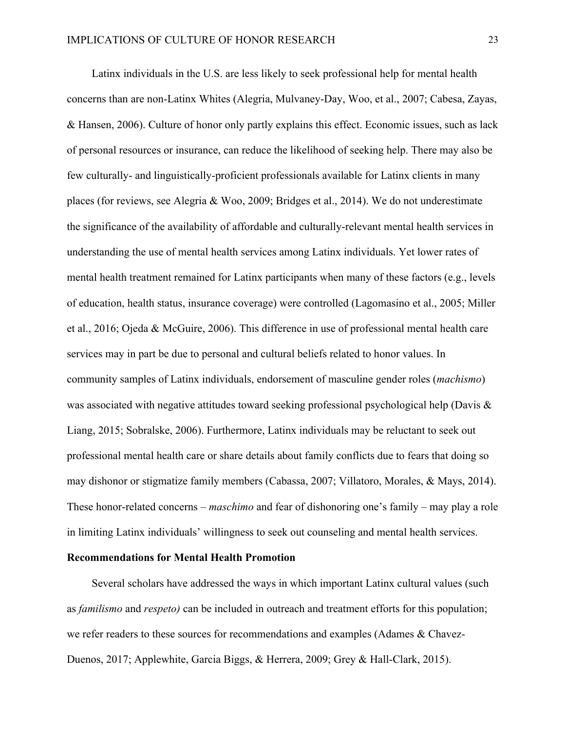Latinx individuals in the U.S. are less likely to seek professional help for mental health concerns than are non-Latinx Whites (Alegria, Mulvaney-Day, Woo, et al., 2007; Cabesa, Zayas, & Hansen, 2006). Culture of honor only partly explains this effect. Economic issues, such as lack of personal resources or insurance, can reduce the likelihood of seeking help. There may also be few culturally- and linguistically-proficient professionals available for Latinx clients in many places (for reviews, see Alegria & Woo, 2009; Bridges et al., 2014). We do not underestimate the significance of the availability of affordable and culturally-relevant mental health services in understanding the use of mental health services among Latinx individuals. Yet lower rates of mental health treatment remained for Latinx participants when many of these factors (e.g., levels of education, health status, insurance coverage) were controlled (Lagomasino et al., 2005; Miller et al., 2016; Ojeda & McGuire, 2006). This difference in use of professional mental health care services may in part be due to personal and cultural beliefs related to honor values. In community samples of Latinx individuals, endorsement of masculine gender roles (*machismo*) was associated with negative attitudes toward seeking professional psychological help (Davis & Liang, 2015; Sobralske, 2006). Furthermore, Latinx individuals may be reluctant to seek out professional mental health care or share details about family conflicts due to fears that doing so may dishonor or stigmatize family members (Cabassa, 2007; Villatoro, Morales, & Mays, 2014). These honor-related concerns – *maschimo* and fear of dishonoring one's family – may play a role in limiting Latinx individuals' willingness to seek out counseling and mental health services.

#### **Recommendations for Mental Health Promotion**

Several scholars have addressed the ways in which important Latinx cultural values (such as *familismo* and *respeto)* can be included in outreach and treatment efforts for this population; we refer readers to these sources for recommendations and examples (Adames & Chavez-Duenos, 2017; Applewhite, Garcia Biggs, & Herrera, 2009; Grey & Hall-Clark, 2015).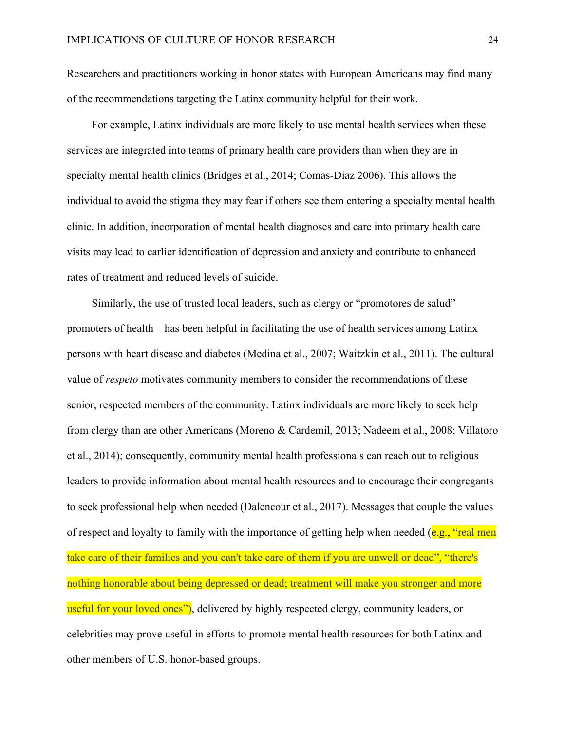Researchers and practitioners working in honor states with European Americans may find many of the recommendations targeting the Latinx community helpful for their work.

For example, Latinx individuals are more likely to use mental health services when these services are integrated into teams of primary health care providers than when they are in specialty mental health clinics (Bridges et al., 2014; Comas-Diaz 2006). This allows the individual to avoid the stigma they may fear if others see them entering a specialty mental health clinic. In addition, incorporation of mental health diagnoses and care into primary health care visits may lead to earlier identification of depression and anxiety and contribute to enhanced rates of treatment and reduced levels of suicide.

Similarly, the use of trusted local leaders, such as clergy or "promotores de salud" promoters of health – has been helpful in facilitating the use of health services among Latinx persons with heart disease and diabetes (Medina et al., 2007; Waitzkin et al., 2011). The cultural value of *respeto* motivates community members to consider the recommendations of these senior, respected members of the community. Latinx individuals are more likely to seek help from clergy than are other Americans (Moreno & Cardemil, 2013; Nadeem et al., 2008; Villatoro et al., 2014); consequently, community mental health professionals can reach out to religious leaders to provide information about mental health resources and to encourage their congregants to seek professional help when needed (Dalencour et al., 2017). Messages that couple the values of respect and loyalty to family with the importance of getting help when needed  $(e.g., "real men")$ take care of their families and you can't take care of them if you are unwell or dead", "there's nothing honorable about being depressed or dead; treatment will make you stronger and more useful for your loved ones"), delivered by highly respected clergy, community leaders, or celebrities may prove useful in efforts to promote mental health resources for both Latinx and other members of U.S. honor-based groups.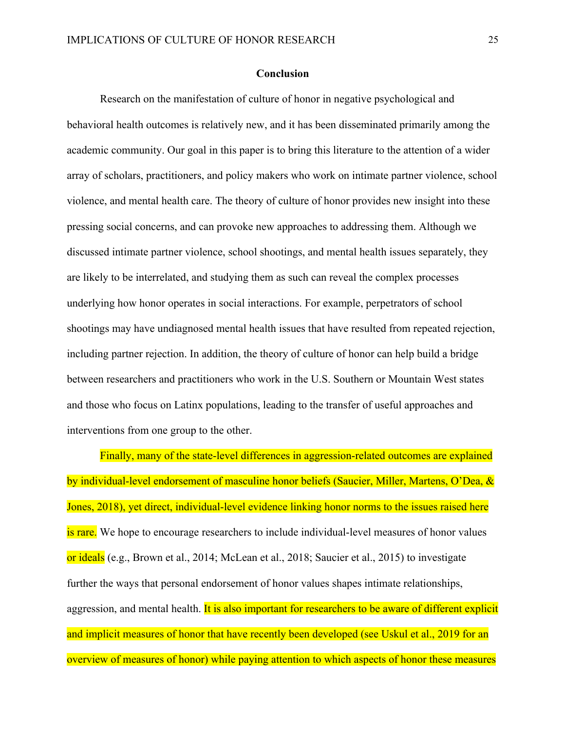#### **Conclusion**

Research on the manifestation of culture of honor in negative psychological and behavioral health outcomes is relatively new, and it has been disseminated primarily among the academic community. Our goal in this paper is to bring this literature to the attention of a wider array of scholars, practitioners, and policy makers who work on intimate partner violence, school violence, and mental health care. The theory of culture of honor provides new insight into these pressing social concerns, and can provoke new approaches to addressing them. Although we discussed intimate partner violence, school shootings, and mental health issues separately, they are likely to be interrelated, and studying them as such can reveal the complex processes underlying how honor operates in social interactions. For example, perpetrators of school shootings may have undiagnosed mental health issues that have resulted from repeated rejection, including partner rejection. In addition, the theory of culture of honor can help build a bridge between researchers and practitioners who work in the U.S. Southern or Mountain West states and those who focus on Latinx populations, leading to the transfer of useful approaches and interventions from one group to the other.

Finally, many of the state-level differences in aggression-related outcomes are explained by individual-level endorsement of masculine honor beliefs (Saucier, Miller, Martens, O'Dea, & Jones, 2018), yet direct, individual-level evidence linking honor norms to the issues raised here is rare. We hope to encourage researchers to include individual-level measures of honor values or ideals (e.g., Brown et al., 2014; McLean et al., 2018; Saucier et al., 2015) to investigate further the ways that personal endorsement of honor values shapes intimate relationships, aggression, and mental health. It is also important for researchers to be aware of different explicit and implicit measures of honor that have recently been developed (see Uskul et al., 2019 for an overview of measures of honor) while paying attention to which aspects of honor these measures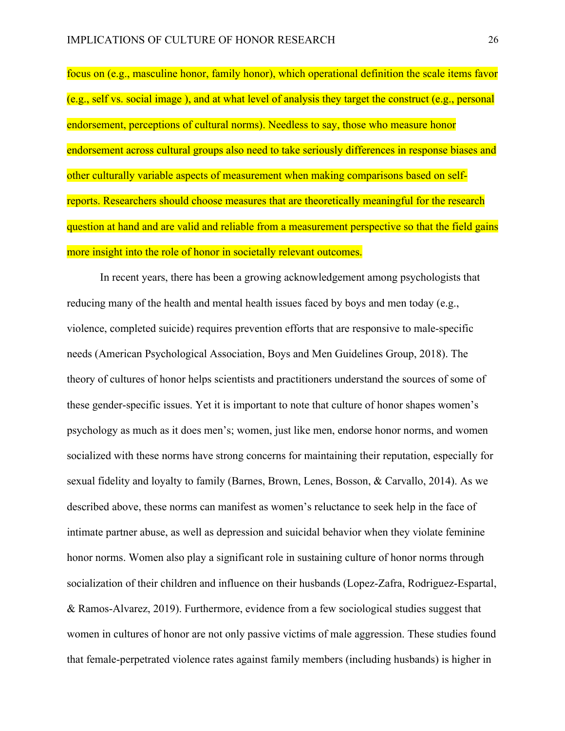focus on (e.g., masculine honor, family honor), which operational definition the scale items favor (e.g., self vs. social image ), and at what level of analysis they target the construct (e.g., personal endorsement, perceptions of cultural norms). Needless to say, those who measure honor endorsement across cultural groups also need to take seriously differences in response biases and other culturally variable aspects of measurement when making comparisons based on selfreports. Researchers should choose measures that are theoretically meaningful for the research question at hand and are valid and reliable from a measurement perspective so that the field gains more insight into the role of honor in societally relevant outcomes.

In recent years, there has been a growing acknowledgement among psychologists that reducing many of the health and mental health issues faced by boys and men today (e.g., violence, completed suicide) requires prevention efforts that are responsive to male-specific needs (American Psychological Association, Boys and Men Guidelines Group, 2018). The theory of cultures of honor helps scientists and practitioners understand the sources of some of these gender-specific issues. Yet it is important to note that culture of honor shapes women's psychology as much as it does men's; women, just like men, endorse honor norms, and women socialized with these norms have strong concerns for maintaining their reputation, especially for sexual fidelity and loyalty to family (Barnes, Brown, Lenes, Bosson, & Carvallo, 2014). As we described above, these norms can manifest as women's reluctance to seek help in the face of intimate partner abuse, as well as depression and suicidal behavior when they violate feminine honor norms. Women also play a significant role in sustaining culture of honor norms through socialization of their children and influence on their husbands (Lopez-Zafra, Rodriguez-Espartal, & Ramos-Alvarez, 2019). Furthermore, evidence from a few sociological studies suggest that women in cultures of honor are not only passive victims of male aggression. These studies found that female-perpetrated violence rates against family members (including husbands) is higher in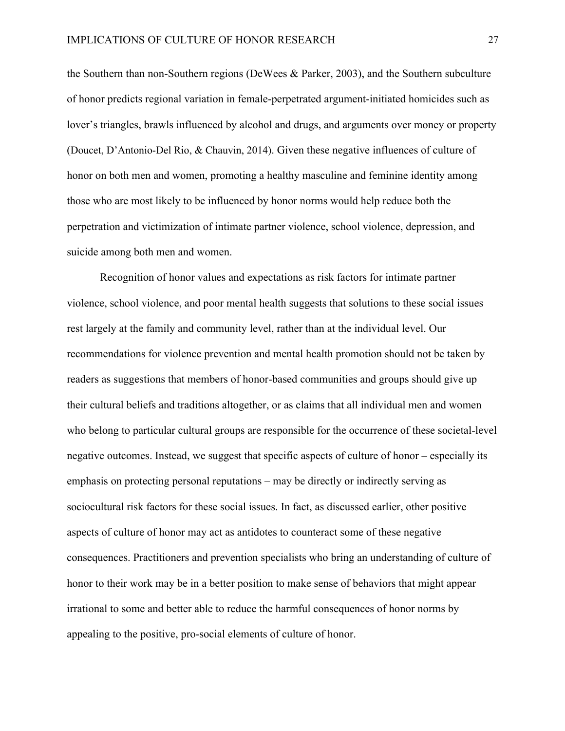the Southern than non-Southern regions (DeWees & Parker, 2003), and the Southern subculture of honor predicts regional variation in female-perpetrated argument-initiated homicides such as lover's triangles, brawls influenced by alcohol and drugs, and arguments over money or property (Doucet, D'Antonio-Del Rio, & Chauvin, 2014). Given these negative influences of culture of honor on both men and women, promoting a healthy masculine and feminine identity among those who are most likely to be influenced by honor norms would help reduce both the perpetration and victimization of intimate partner violence, school violence, depression, and suicide among both men and women.

Recognition of honor values and expectations as risk factors for intimate partner violence, school violence, and poor mental health suggests that solutions to these social issues rest largely at the family and community level, rather than at the individual level. Our recommendations for violence prevention and mental health promotion should not be taken by readers as suggestions that members of honor-based communities and groups should give up their cultural beliefs and traditions altogether, or as claims that all individual men and women who belong to particular cultural groups are responsible for the occurrence of these societal-level negative outcomes. Instead, we suggest that specific aspects of culture of honor – especially its emphasis on protecting personal reputations – may be directly or indirectly serving as sociocultural risk factors for these social issues. In fact, as discussed earlier, other positive aspects of culture of honor may act as antidotes to counteract some of these negative consequences. Practitioners and prevention specialists who bring an understanding of culture of honor to their work may be in a better position to make sense of behaviors that might appear irrational to some and better able to reduce the harmful consequences of honor norms by appealing to the positive, pro-social elements of culture of honor.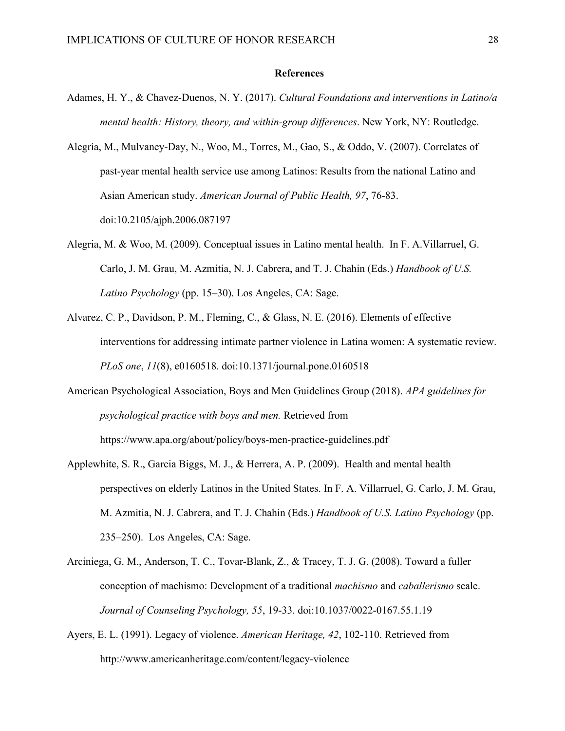#### **References**

- Adames, H. Y., & Chavez-Duenos, N. Y. (2017). *Cultural Foundations and interventions in Latino/a mental health: History, theory, and within-group differences*. New York, NY: Routledge.
- Alegría, M., Mulvaney-Day, N., Woo, M., Torres, M., Gao, S., & Oddo, V. (2007). Correlates of past-year mental health service use among Latinos: Results from the national Latino and Asian American study. *American Journal of Public Health, 97*, 76-83. doi:10.2105/ajph.2006.087197
- Alegria, M. & Woo, M. (2009). Conceptual issues in Latino mental health. In F. A.Villarruel, G. Carlo, J. M. Grau, M. Azmitia, N. J. Cabrera, and T. J. Chahin (Eds.) *Handbook of U.S. Latino Psychology* (pp. 15–30). Los Angeles, CA: Sage.
- Alvarez, C. P., Davidson, P. M., Fleming, C., & Glass, N. E. (2016). Elements of effective interventions for addressing intimate partner violence in Latina women: A systematic review. *PLoS one*, *11*(8), e0160518. doi:10.1371/journal.pone.0160518
- American Psychological Association, Boys and Men Guidelines Group (2018). *APA guidelines for psychological practice with boys and men.* Retrieved from https://www.apa.org/about/policy/boys-men-practice-guidelines.pdf
- Applewhite, S. R., Garcia Biggs, M. J., & Herrera, A. P. (2009). Health and mental health perspectives on elderly Latinos in the United States. In F. A. Villarruel, G. Carlo, J. M. Grau, M. Azmitia, N. J. Cabrera, and T. J. Chahin (Eds.) *Handbook of U.S. Latino Psychology* (pp. 235–250). Los Angeles, CA: Sage.
- Arciniega, G. M., Anderson, T. C., Tovar-Blank, Z., & Tracey, T. J. G. (2008). Toward a fuller conception of machismo: Development of a traditional *machismo* and *caballerismo* scale. *Journal of Counseling Psychology, 55*, 19-33. doi:10.1037/0022-0167.55.1.19
- Ayers, E. L. (1991). Legacy of violence. *American Heritage, 42*, 102-110. Retrieved from http://www.americanheritage.com/content/legacy-violence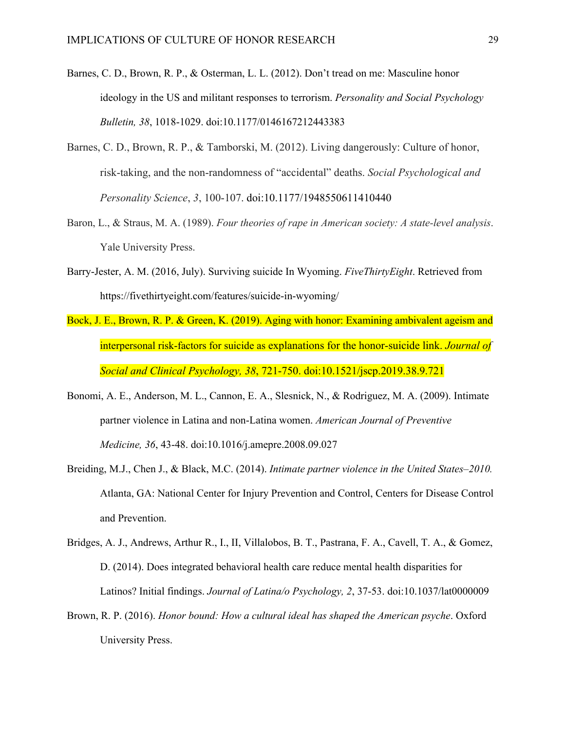- Barnes, C. D., Brown, R. P., & Osterman, L. L. (2012). Don't tread on me: Masculine honor ideology in the US and militant responses to terrorism. *Personality and Social Psychology Bulletin, 38*, 1018-1029. doi:10.1177/0146167212443383
- Barnes, C. D., Brown, R. P., & Tamborski, M. (2012). Living dangerously: Culture of honor, risk-taking, and the non-randomness of "accidental" deaths. *Social Psychological and Personality Science*, *3*, 100-107. doi:10.1177/1948550611410440
- Baron, L., & Straus, M. A. (1989). *Four theories of rape in American society: A state-level analysis*. Yale University Press.
- Barry-Jester, A. M. (2016, July). Surviving suicide In Wyoming. *FiveThirtyEight*. Retrieved from https://fivethirtyeight.com/features/suicide-in-wyoming/
- Bock, J. E., Brown, R. P. & Green, K. (2019). Aging with honor: Examining ambivalent ageism and interpersonal risk-factors for suicide as explanations for the honor-suicide link. *Journal of Social and Clinical Psychology, 38*, 721-750. doi:10.1521/jscp.2019.38.9.721
- Bonomi, A. E., Anderson, M. L., Cannon, E. A., Slesnick, N., & Rodriguez, M. A. (2009). Intimate partner violence in Latina and non-Latina women. *American Journal of Preventive Medicine, 36*, 43-48. doi:10.1016/j.amepre.2008.09.027
- Breiding, M.J., Chen J., & Black, M.C. (2014). *Intimate partner violence in the United States*–*2010.* Atlanta, GA: National Center for Injury Prevention and Control, Centers for Disease Control and Prevention.
- Bridges, A. J., Andrews, Arthur R., I., II, Villalobos, B. T., Pastrana, F. A., Cavell, T. A., & Gomez, D. (2014). Does integrated behavioral health care reduce mental health disparities for Latinos? Initial findings. *Journal of Latina/o Psychology, 2*, 37-53. doi:10.1037/lat0000009
- Brown, R. P. (2016). *Honor bound: How a cultural ideal has shaped the American psyche*. Oxford University Press.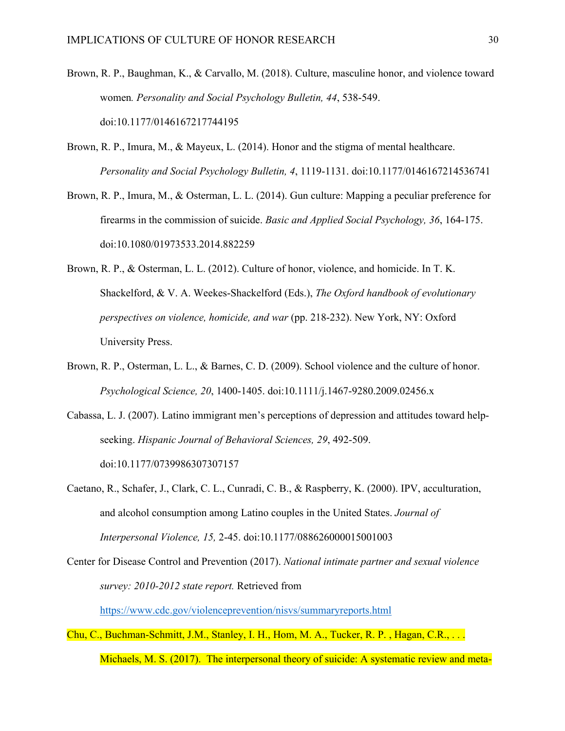- Brown, R. P., Baughman, K., & Carvallo, M. (2018). Culture, masculine honor, and violence toward women*. Personality and Social Psychology Bulletin, 44*, 538-549. doi:10.1177/0146167217744195
- Brown, R. P., Imura, M., & Mayeux, L. (2014). Honor and the stigma of mental healthcare. *Personality and Social Psychology Bulletin, 4*, 1119-1131. doi:10.1177/0146167214536741
- Brown, R. P., Imura, M., & Osterman, L. L. (2014). Gun culture: Mapping a peculiar preference for firearms in the commission of suicide. *Basic and Applied Social Psychology, 36*, 164-175. doi:10.1080/01973533.2014.882259
- Brown, R. P., & Osterman, L. L. (2012). Culture of honor, violence, and homicide. In T. K. Shackelford, & V. A. Weekes-Shackelford (Eds.), *The Oxford handbook of evolutionary perspectives on violence, homicide, and war* (pp. 218-232). New York, NY: Oxford University Press.
- Brown, R. P., Osterman, L. L., & Barnes, C. D. (2009). School violence and the culture of honor. *Psychological Science, 20*, 1400-1405. doi:10.1111/j.1467-9280.2009.02456.x
- Cabassa, L. J. (2007). Latino immigrant men's perceptions of depression and attitudes toward helpseeking. *Hispanic Journal of Behavioral Sciences, 29*, 492-509. doi:10.1177/0739986307307157
- Caetano, R., Schafer, J., Clark, C. L., Cunradi, C. B., & Raspberry, K. (2000). IPV, acculturation, and alcohol consumption among Latino couples in the United States. *Journal of Interpersonal Violence, 15,* 2-45. doi:10.1177/088626000015001003

Center for Disease Control and Prevention (2017). *National intimate partner and sexual violence survey: 2010-2012 state report.* Retrieved from https://www.cdc.gov/violenceprevention/nisvs/summaryreports.html

Chu, C., Buchman-Schmitt, J.M., Stanley, I. H., Hom, M. A., Tucker, R. P. , Hagan, C.R., . . . Michaels, M. S. (2017). The interpersonal theory of suicide: A systematic review and meta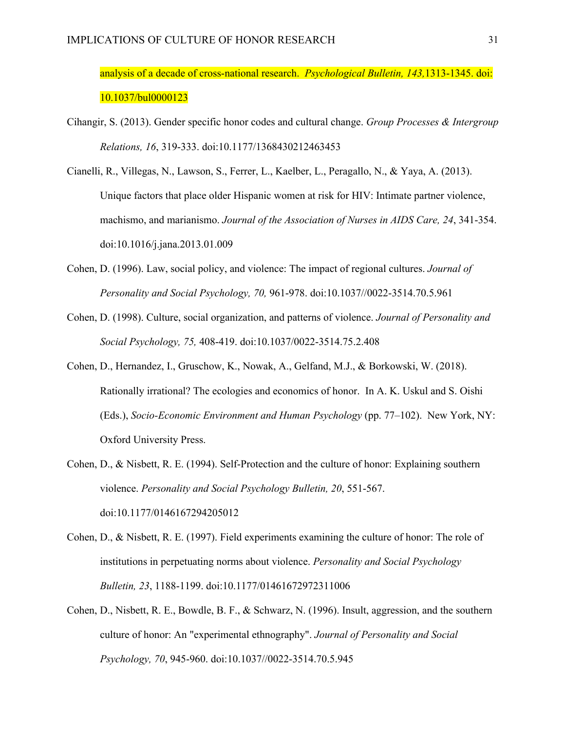analysis of a decade of cross-national research. *Psychological Bulletin, 143,*1313-1345. doi: 10.1037/bul0000123

- Cihangir, S. (2013). Gender specific honor codes and cultural change. *Group Processes & Intergroup Relations, 16*, 319-333. doi:10.1177/1368430212463453
- Cianelli, R., Villegas, N., Lawson, S., Ferrer, L., Kaelber, L., Peragallo, N., & Yaya, A. (2013). Unique factors that place older Hispanic women at risk for HIV: Intimate partner violence, machismo, and marianismo. *Journal of the Association of Nurses in AIDS Care, 24*, 341-354. doi:10.1016/j.jana.2013.01.009
- Cohen, D. (1996). Law, social policy, and violence: The impact of regional cultures. *Journal of Personality and Social Psychology, 70,* 961-978. doi:10.1037//0022-3514.70.5.961
- Cohen, D. (1998). Culture, social organization, and patterns of violence. *Journal of Personality and Social Psychology, 75,* 408-419. doi:10.1037/0022-3514.75.2.408
- Cohen, D., Hernandez, I., Gruschow, K., Nowak, A., Gelfand, M.J., & Borkowski, W. (2018). Rationally irrational? The ecologies and economics of honor. In A. K. Uskul and S. Oishi (Eds.), *Socio-Economic Environment and Human Psychology* (pp. 77–102). New York, NY: Oxford University Press.
- Cohen, D., & Nisbett, R. E. (1994). Self-Protection and the culture of honor: Explaining southern violence. *Personality and Social Psychology Bulletin, 20*, 551-567. doi:10.1177/0146167294205012
- Cohen, D., & Nisbett, R. E. (1997). Field experiments examining the culture of honor: The role of institutions in perpetuating norms about violence. *Personality and Social Psychology Bulletin, 23*, 1188-1199. doi:10.1177/01461672972311006
- Cohen, D., Nisbett, R. E., Bowdle, B. F., & Schwarz, N. (1996). Insult, aggression, and the southern culture of honor: An "experimental ethnography". *Journal of Personality and Social Psychology, 70*, 945-960. doi:10.1037//0022-3514.70.5.945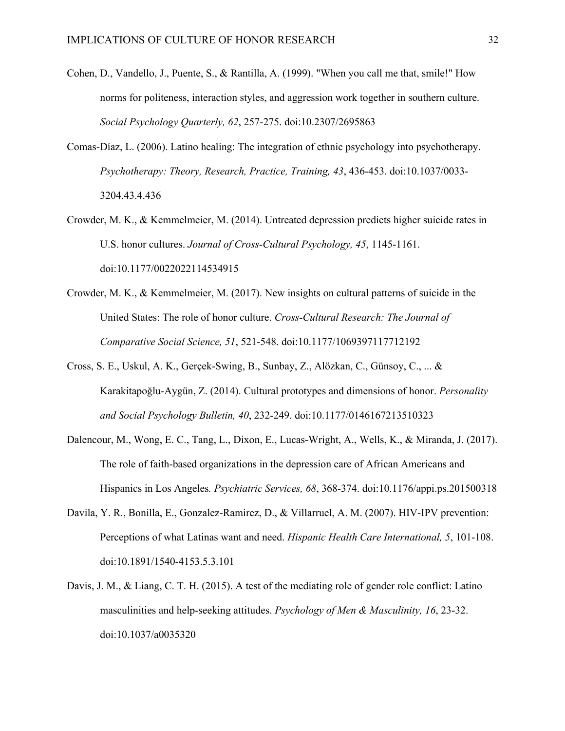- Cohen, D., Vandello, J., Puente, S., & Rantilla, A. (1999). "When you call me that, smile!" How norms for politeness, interaction styles, and aggression work together in southern culture. *Social Psychology Quarterly, 62*, 257-275. doi:10.2307/2695863
- Comas-Díaz, L. (2006). Latino healing: The integration of ethnic psychology into psychotherapy. *Psychotherapy: Theory, Research, Practice, Training, 43*, 436-453. doi:10.1037/0033- 3204.43.4.436
- Crowder, M. K., & Kemmelmeier, M. (2014). Untreated depression predicts higher suicide rates in U.S. honor cultures. *Journal of Cross-Cultural Psychology, 45*, 1145-1161. doi:10.1177/0022022114534915
- Crowder, M. K., & Kemmelmeier, M. (2017). New insights on cultural patterns of suicide in the United States: The role of honor culture. *Cross-Cultural Research: The Journal of Comparative Social Science, 51*, 521-548. doi:10.1177/1069397117712192
- Cross, S. E., Uskul, A. K., Gerçek-Swing, B., Sunbay, Z., Alözkan, C., Günsoy, C., ... & Karakitapoğlu-Aygün, Z. (2014). Cultural prototypes and dimensions of honor. *Personality and Social Psychology Bulletin, 40*, 232-249. doi:10.1177/0146167213510323
- Dalencour, M., Wong, E. C., Tang, L., Dixon, E., Lucas-Wright, A., Wells, K., & Miranda, J. (2017). The role of faith-based organizations in the depression care of African Americans and Hispanics in Los Angeles*. Psychiatric Services, 68*, 368-374. doi:10.1176/appi.ps.201500318
- Davila, Y. R., Bonilla, E., Gonzalez-Ramirez, D., & Villarruel, A. M. (2007). HIV-IPV prevention: Perceptions of what Latinas want and need. *Hispanic Health Care International, 5*, 101-108. doi:10.1891/1540-4153.5.3.101
- Davis, J. M., & Liang, C. T. H. (2015). A test of the mediating role of gender role conflict: Latino masculinities and help-seeking attitudes. *Psychology of Men & Masculinity, 16*, 23-32. doi:10.1037/a0035320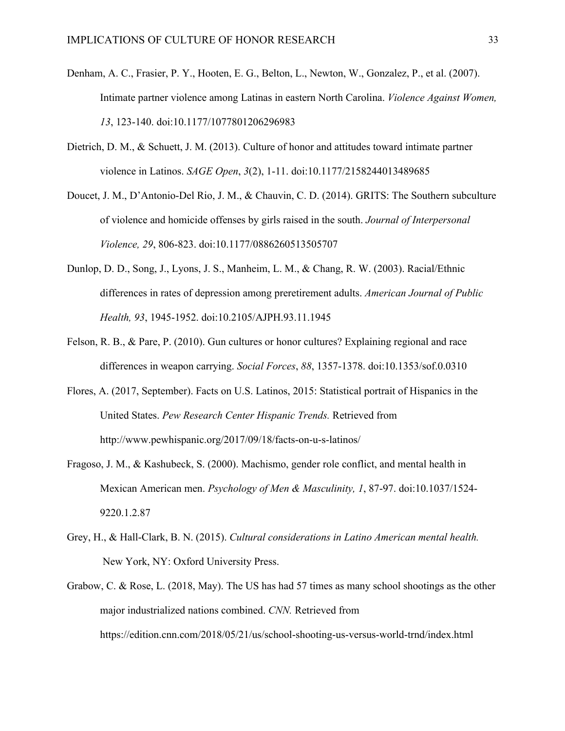- Denham, A. C., Frasier, P. Y., Hooten, E. G., Belton, L., Newton, W., Gonzalez, P., et al. (2007). Intimate partner violence among Latinas in eastern North Carolina. *Violence Against Women, 13*, 123-140. doi:10.1177/1077801206296983
- Dietrich, D. M., & Schuett, J. M. (2013). Culture of honor and attitudes toward intimate partner violence in Latinos. *SAGE Open*, *3*(2), 1-11. doi:10.1177/2158244013489685
- Doucet, J. M., D'Antonio-Del Rio, J. M., & Chauvin, C. D. (2014). GRITS: The Southern subculture of violence and homicide offenses by girls raised in the south. *Journal of Interpersonal Violence, 29*, 806-823. doi:10.1177/0886260513505707
- Dunlop, D. D., Song, J., Lyons, J. S., Manheim, L. M., & Chang, R. W. (2003). Racial/Ethnic differences in rates of depression among preretirement adults. *American Journal of Public Health, 93*, 1945-1952. doi:10.2105/AJPH.93.11.1945
- Felson, R. B., & Pare, P. (2010). Gun cultures or honor cultures? Explaining regional and race differences in weapon carrying. *Social Forces*, *88*, 1357-1378. doi:10.1353/sof.0.0310
- Flores, A. (2017, September). Facts on U.S. Latinos, 2015: Statistical portrait of Hispanics in the United States. *Pew Research Center Hispanic Trends.* Retrieved from http://www.pewhispanic.org/2017/09/18/facts-on-u-s-latinos/
- Fragoso, J. M., & Kashubeck, S. (2000). Machismo, gender role conflict, and mental health in Mexican American men. *Psychology of Men & Masculinity, 1*, 87-97. doi:10.1037/1524- 9220.1.2.87
- Grey, H., & Hall-Clark, B. N. (2015). *Cultural considerations in Latino American mental health.* New York, NY: Oxford University Press.
- Grabow, C. & Rose, L. (2018, May). The US has had 57 times as many school shootings as the other major industrialized nations combined. *CNN.* Retrieved from https://edition.cnn.com/2018/05/21/us/school-shooting-us-versus-world-trnd/index.html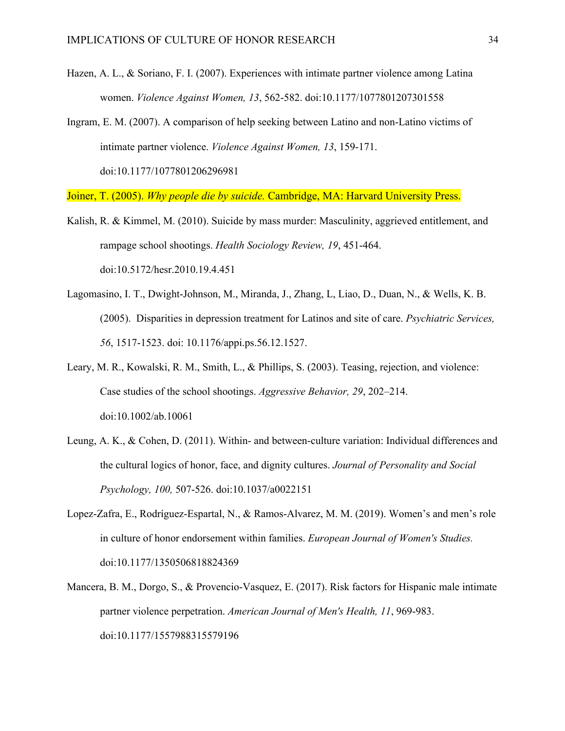- Hazen, A. L., & Soriano, F. I. (2007). Experiences with intimate partner violence among Latina women. *Violence Against Women, 13*, 562-582. doi:10.1177/1077801207301558
- Ingram, E. M. (2007). A comparison of help seeking between Latino and non-Latino victims of intimate partner violence. *Violence Against Women, 13*, 159-171. doi:10.1177/1077801206296981

Joiner, T. (2005). *Why people die by suicide.* Cambridge, MA: Harvard University Press.

- Kalish, R. & Kimmel, M. (2010). Suicide by mass murder: Masculinity, aggrieved entitlement, and rampage school shootings. *Health Sociology Review, 19*, 451-464. doi:10.5172/hesr.2010.19.4.451
- Lagomasino, I. T., Dwight-Johnson, M., Miranda, J., Zhang, L, Liao, D., Duan, N., & Wells, K. B. (2005). Disparities in depression treatment for Latinos and site of care. *Psychiatric Services, 56*, 1517-1523. doi: 10.1176/appi.ps.56.12.1527.
- Leary, M. R., Kowalski, R. M., Smith, L., & Phillips, S. (2003). Teasing, rejection, and violence: Case studies of the school shootings. *Aggressive Behavior, 29*, 202–214. doi:10.1002/ab.10061
- Leung, A. K., & Cohen, D. (2011). Within- and between-culture variation: Individual differences and the cultural logics of honor, face, and dignity cultures. *Journal of Personality and Social Psychology, 100,* 507-526. doi:10.1037/a0022151
- Lopez-Zafra, E., Rodríguez-Espartal, N., & Ramos-Alvarez, M. M. (2019). Women's and men's role in culture of honor endorsement within families. *European Journal of Women's Studies.* doi:10.1177/1350506818824369
- Mancera, B. M., Dorgo, S., & Provencio-Vasquez, E. (2017). Risk factors for Hispanic male intimate partner violence perpetration. *American Journal of Men's Health, 11*, 969-983. doi:10.1177/1557988315579196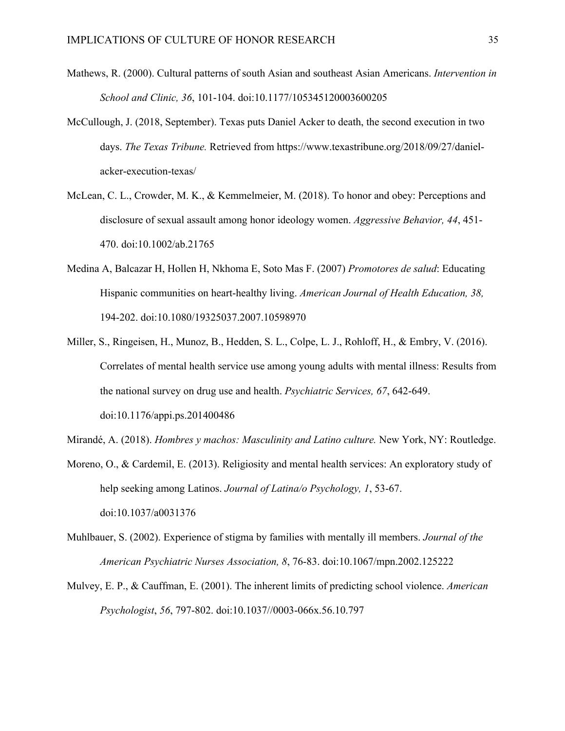- Mathews, R. (2000). Cultural patterns of south Asian and southeast Asian Americans. *Intervention in School and Clinic, 36*, 101-104. doi:10.1177/105345120003600205
- McCullough, J. (2018, September). Texas puts Daniel Acker to death, the second execution in two days. *The Texas Tribune.* Retrieved from https://www.texastribune.org/2018/09/27/danielacker-execution-texas/
- McLean, C. L., Crowder, M. K., & Kemmelmeier, M. (2018). To honor and obey: Perceptions and disclosure of sexual assault among honor ideology women. *Aggressive Behavior, 44*, 451- 470. doi:10.1002/ab.21765
- Medina A, Balcazar H, Hollen H, Nkhoma E, Soto Mas F. (2007) *Promotores de salud*: Educating Hispanic communities on heart-healthy living. *American Journal of Health Education, 38,*  194-202. doi:10.1080/19325037.2007.10598970
- Miller, S., Ringeisen, H., Munoz, B., Hedden, S. L., Colpe, L. J., Rohloff, H., & Embry, V. (2016). Correlates of mental health service use among young adults with mental illness: Results from the national survey on drug use and health. *Psychiatric Services, 67*, 642-649. doi:10.1176/appi.ps.201400486
- Mirandé, A. (2018). *Hombres y machos: Masculinity and Latino culture.* New York, NY: Routledge.
- Moreno, O., & Cardemil, E. (2013). Religiosity and mental health services: An exploratory study of help seeking among Latinos. *Journal of Latina/o Psychology, 1*, 53-67. doi:10.1037/a0031376
- Muhlbauer, S. (2002). Experience of stigma by families with mentally ill members. *Journal of the American Psychiatric Nurses Association, 8*, 76-83. doi:10.1067/mpn.2002.125222
- Mulvey, E. P., & Cauffman, E. (2001). The inherent limits of predicting school violence. *American Psychologist*, *56*, 797-802. doi:10.1037//0003-066x.56.10.797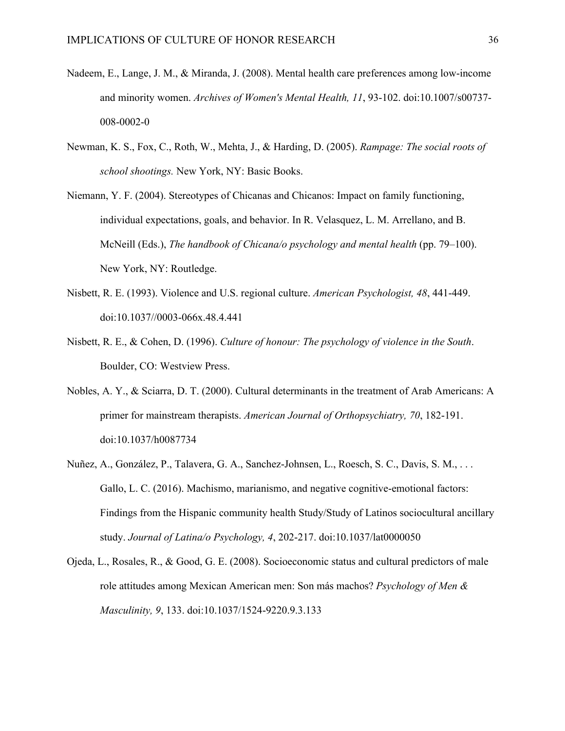- Nadeem, E., Lange, J. M., & Miranda, J. (2008). Mental health care preferences among low-income and minority women. *Archives of Women's Mental Health, 11*, 93-102. doi:10.1007/s00737- 008-0002-0
- Newman, K. S., Fox, C., Roth, W., Mehta, J., & Harding, D. (2005). *Rampage: The social roots of school shootings.* New York, NY: Basic Books.
- Niemann, Y. F. (2004). Stereotypes of Chicanas and Chicanos: Impact on family functioning, individual expectations, goals, and behavior. In R. Velasquez, L. M. Arrellano, and B. McNeill (Eds.), *The handbook of Chicana/o psychology and mental health* (pp. 79–100). New York, NY: Routledge.
- Nisbett, R. E. (1993). Violence and U.S. regional culture. *American Psychologist, 48*, 441-449. doi:10.1037//0003-066x.48.4.441
- Nisbett, R. E., & Cohen, D. (1996). *Culture of honour: The psychology of violence in the South*. Boulder, CO: Westview Press.
- Nobles, A. Y., & Sciarra, D. T. (2000). Cultural determinants in the treatment of Arab Americans: A primer for mainstream therapists. *American Journal of Orthopsychiatry, 70*, 182-191. doi:10.1037/h0087734
- Nuñez, A., González, P., Talavera, G. A., Sanchez-Johnsen, L., Roesch, S. C., Davis, S. M., . . . Gallo, L. C. (2016). Machismo, marianismo, and negative cognitive-emotional factors: Findings from the Hispanic community health Study/Study of Latinos sociocultural ancillary study. *Journal of Latina/o Psychology, 4*, 202-217. doi:10.1037/lat0000050
- Ojeda, L., Rosales, R., & Good, G. E. (2008). Socioeconomic status and cultural predictors of male role attitudes among Mexican American men: Son más machos? *Psychology of Men & Masculinity, 9*, 133. doi:10.1037/1524-9220.9.3.133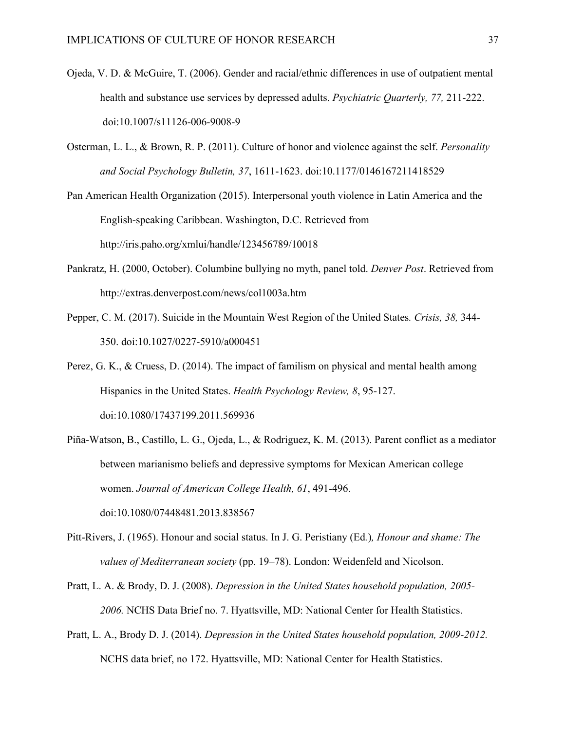- Ojeda, V. D. & McGuire, T. (2006). Gender and racial/ethnic differences in use of outpatient mental health and substance use services by depressed adults. *Psychiatric Quarterly, 77,* 211-222. doi:10.1007/s11126-006-9008-9
- Osterman, L. L., & Brown, R. P. (2011). Culture of honor and violence against the self. *Personality and Social Psychology Bulletin, 37*, 1611-1623. doi:10.1177/0146167211418529

Pan American Health Organization (2015). Interpersonal youth violence in Latin America and the English-speaking Caribbean. Washington, D.C. Retrieved from http://iris.paho.org/xmlui/handle/123456789/10018

- Pankratz, H. (2000, October). Columbine bullying no myth, panel told. *Denver Post*. Retrieved from http://extras.denverpost.com/news/col1003a.htm
- Pepper, C. M. (2017). Suicide in the Mountain West Region of the United States*. Crisis, 38,* 344- 350. doi:10.1027/0227-5910/a000451
- Perez, G. K., & Cruess, D. (2014). The impact of familism on physical and mental health among Hispanics in the United States. *Health Psychology Review, 8*, 95-127. doi:10.1080/17437199.2011.569936
- Piña-Watson, B., Castillo, L. G., Ojeda, L., & Rodriguez, K. M. (2013). Parent conflict as a mediator between marianismo beliefs and depressive symptoms for Mexican American college women. *Journal of American College Health, 61*, 491-496. doi:10.1080/07448481.2013.838567
- Pitt-Rivers, J. (1965). Honour and social status. In J. G. Peristiany (Ed*.*)*, Honour and shame: The values of Mediterranean society* (pp. 19–78). London: Weidenfeld and Nicolson.
- Pratt, L. A. & Brody, D. J. (2008). *Depression in the United States household population, 2005- 2006.* NCHS Data Brief no. 7. Hyattsville, MD: National Center for Health Statistics.
- Pratt, L. A., Brody D. J. (2014). *Depression in the United States household population, 2009-2012.* NCHS data brief, no 172. Hyattsville, MD: National Center for Health Statistics.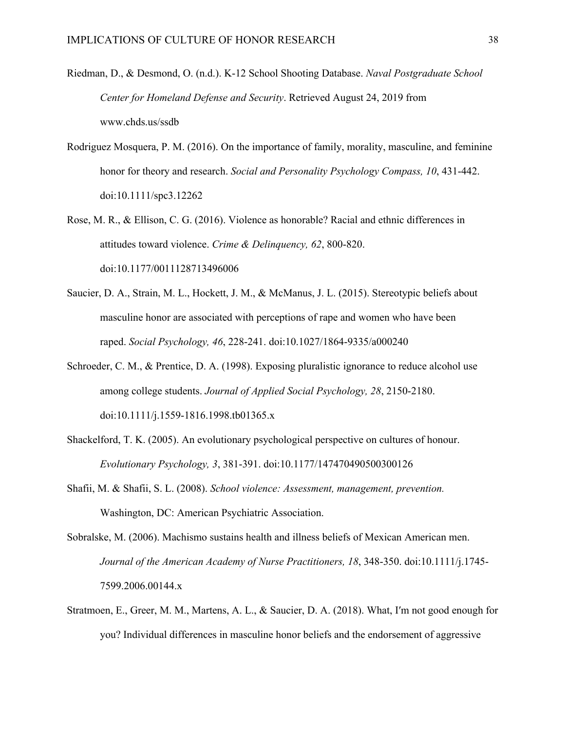- Riedman, D., & Desmond, O. (n.d.). K-12 School Shooting Database. *Naval Postgraduate School Center for Homeland Defense and Security*. Retrieved August 24, 2019 from www.chds.us/ssdb
- Rodriguez Mosquera, P. M. (2016). On the importance of family, morality, masculine, and feminine honor for theory and research. *Social and Personality Psychology Compass, 10*, 431-442. doi:10.1111/spc3.12262
- Rose, M. R., & Ellison, C. G. (2016). Violence as honorable? Racial and ethnic differences in attitudes toward violence. *Crime & Delinquency, 62*, 800-820. doi:10.1177/0011128713496006
- Saucier, D. A., Strain, M. L., Hockett, J. M., & McManus, J. L. (2015). Stereotypic beliefs about masculine honor are associated with perceptions of rape and women who have been raped. *Social Psychology, 46*, 228-241. doi:10.1027/1864-9335/a000240
- Schroeder, C. M., & Prentice, D. A. (1998). Exposing pluralistic ignorance to reduce alcohol use among college students. *Journal of Applied Social Psychology, 28*, 2150-2180. doi:10.1111/j.1559-1816.1998.tb01365.x
- Shackelford, T. K. (2005). An evolutionary psychological perspective on cultures of honour. *Evolutionary Psychology, 3*, 381-391. doi:10.1177/147470490500300126
- Shafii, M. & Shafii, S. L. (2008). *School violence: Assessment, management, prevention.* Washington, DC: American Psychiatric Association.
- Sobralske, M. (2006). Machismo sustains health and illness beliefs of Mexican American men. *Journal of the American Academy of Nurse Practitioners, 18*, 348-350. doi:10.1111/j.1745- 7599.2006.00144.x
- Stratmoen, E., Greer, M. M., Martens, A. L., & Saucier, D. A. (2018). What, I′m not good enough for you? Individual differences in masculine honor beliefs and the endorsement of aggressive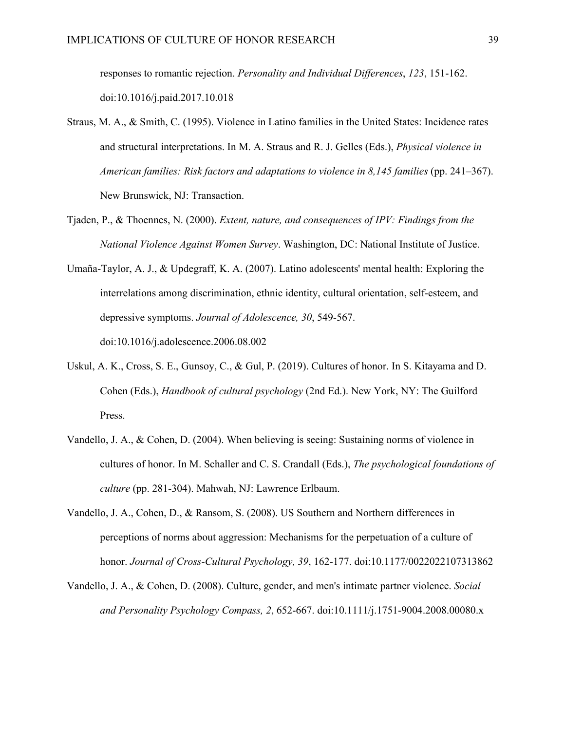responses to romantic rejection. *Personality and Individual Differences*, *123*, 151-162. doi:10.1016/j.paid.2017.10.018

- Straus, M. A., & Smith, C. (1995). Violence in Latino families in the United States: Incidence rates and structural interpretations. In M. A. Straus and R. J. Gelles (Eds.), *Physical violence in American families: Risk factors and adaptations to violence in 8,145 families* (pp. 241–367). New Brunswick, NJ: Transaction.
- Tjaden, P., & Thoennes, N. (2000). *Extent, nature, and consequences of IPV: Findings from the National Violence Against Women Survey*. Washington, DC: National Institute of Justice.
- Umaña-Taylor, A. J., & Updegraff, K. A. (2007). Latino adolescents' mental health: Exploring the interrelations among discrimination, ethnic identity, cultural orientation, self-esteem, and depressive symptoms. *Journal of Adolescence, 30*, 549-567. doi:10.1016/j.adolescence.2006.08.002
- Uskul, A. K., Cross, S. E., Gunsoy, C., & Gul, P. (2019). Cultures of honor. In S. Kitayama and D. Cohen (Eds.), *Handbook of cultural psychology* (2nd Ed.). New York, NY: The Guilford Press.
- Vandello, J. A., & Cohen, D. (2004). When believing is seeing: Sustaining norms of violence in cultures of honor. In M. Schaller and C. S. Crandall (Eds.), *The psychological foundations of culture* (pp. 281-304). Mahwah, NJ: Lawrence Erlbaum.
- Vandello, J. A., Cohen, D., & Ransom, S. (2008). US Southern and Northern differences in perceptions of norms about aggression: Mechanisms for the perpetuation of a culture of honor. *Journal of Cross-Cultural Psychology, 39*, 162-177. doi:10.1177/0022022107313862
- Vandello, J. A., & Cohen, D. (2008). Culture, gender, and men's intimate partner violence. *Social and Personality Psychology Compass, 2*, 652-667. doi:10.1111/j.1751-9004.2008.00080.x